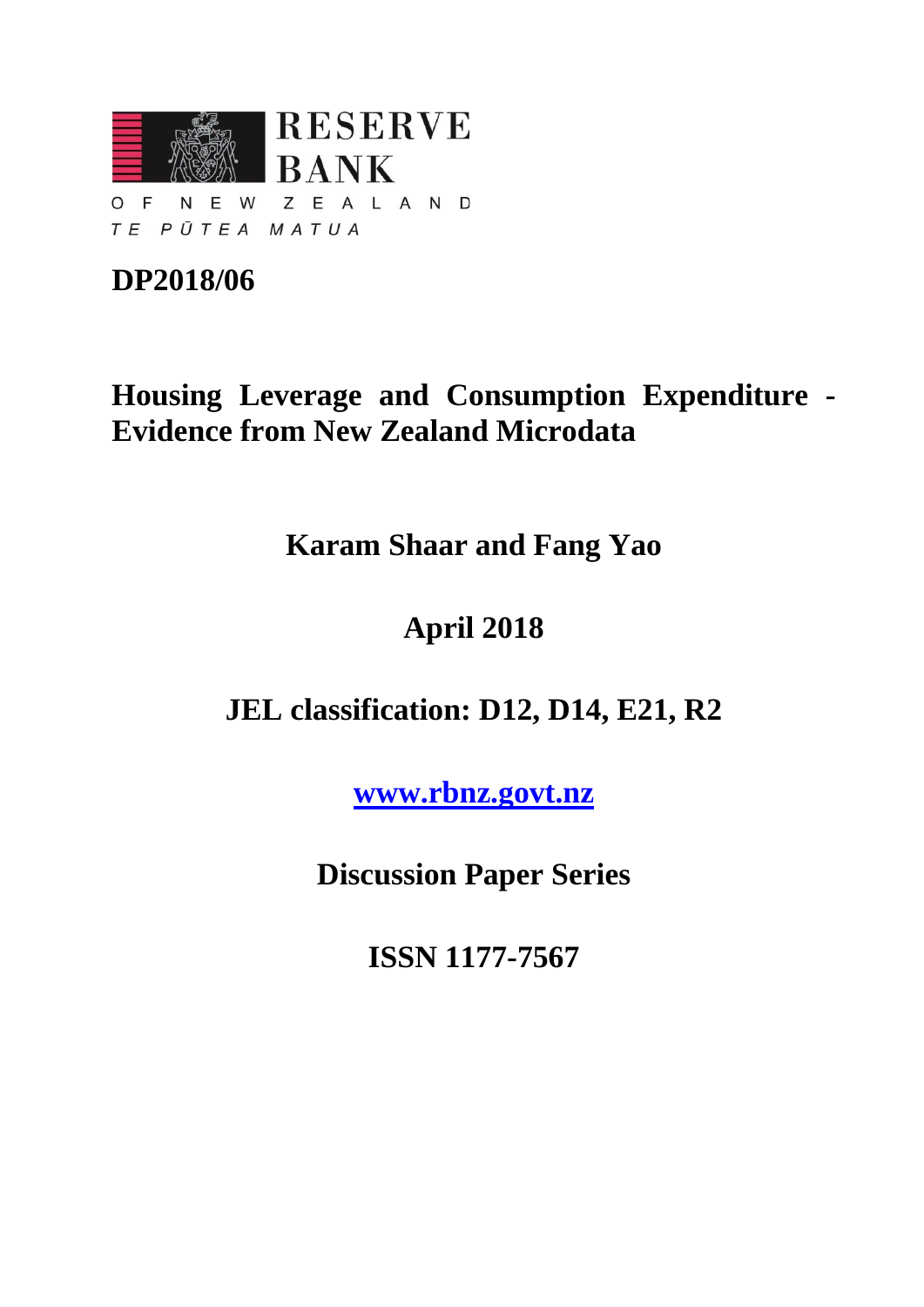

## **DP2018/06**

## **Housing Leverage and Consumption Expenditure - Evidence from New Zealand Microdata**

**Karam Shaar and Fang Yao**

# **April 2018**

### **JEL classification: D12, D14, E21, R2**

**[www.rbnz.govt.nz](http://www.rbnz.govt.nz/)**

**Discussion Paper Series**

**ISSN 1177-7567**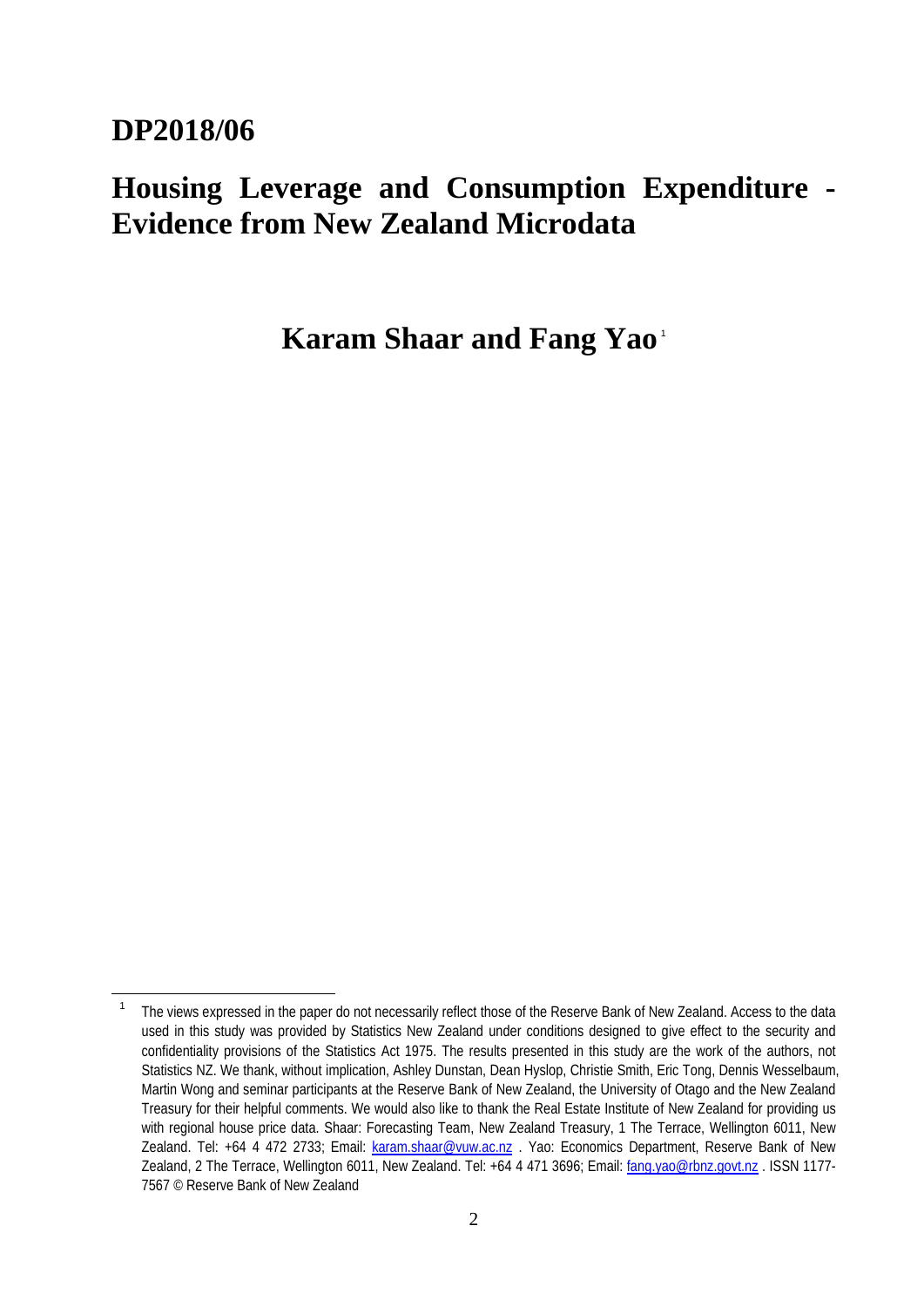### **DP2018/06**

## **Housing Leverage and Consumption Expenditure - Evidence from New Zealand Microdata**

**Karam Shaar and Fang Yao** [1](#page-1-0)

<span id="page-1-0"></span><sup>&</sup>lt;sup>1</sup> The views expressed in the paper do not necessarily reflect those of the Reserve Bank of New Zealand. Access to the data used in this study was provided by Statistics New Zealand under conditions designed to give effect to the security and confidentiality provisions of the Statistics Act 1975. The results presented in this study are the work of the authors, not Statistics NZ. We thank, without implication, Ashley Dunstan, Dean Hyslop, Christie Smith, Eric Tong, Dennis Wesselbaum, Martin Wong and seminar participants at the Reserve Bank of New Zealand, the University of Otago and the New Zealand Treasury for their helpful comments. We would also like to thank the Real Estate Institute of New Zealand for providing us with regional house price data. Shaar: Forecasting Team, New Zealand Treasury, 1 The Terrace, Wellington 6011, New Zealand. Tel: +64 4 472 2733; Email: [karam.shaar@vuw.ac.nz](mailto:karam.shaar@vuw.ac.nz) . Yao: Economics Department, Reserve Bank of New Zealand, 2 The Terrace, Wellington 6011, New Zealand. Tel: +64 4 471 3696; Email: [fang.yao@rbnz.govt.nz](mailto:fang.yao@rbnz.govt.nz) . ISSN 1177- 7567 © Reserve Bank of New Zealand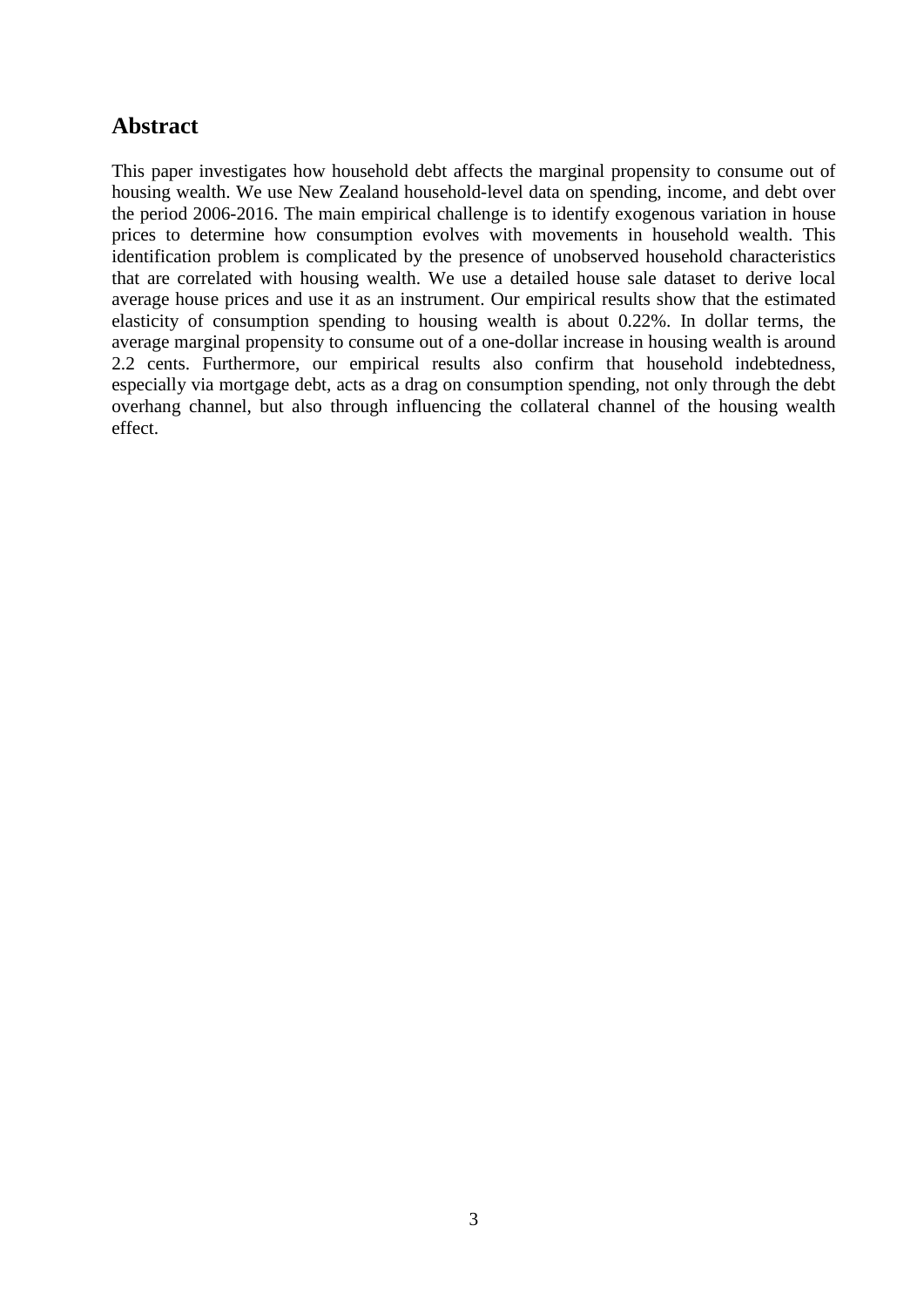### **Abstract**

This paper investigates how household debt affects the marginal propensity to consume out of housing wealth. We use New Zealand household-level data on spending, income, and debt over the period 2006-2016. The main empirical challenge is to identify exogenous variation in house prices to determine how consumption evolves with movements in household wealth. This identification problem is complicated by the presence of unobserved household characteristics that are correlated with housing wealth. We use a detailed house sale dataset to derive local average house prices and use it as an instrument. Our empirical results show that the estimated elasticity of consumption spending to housing wealth is about 0.22%. In dollar terms, the average marginal propensity to consume out of a one-dollar increase in housing wealth is around 2.2 cents. Furthermore, our empirical results also confirm that household indebtedness, especially via mortgage debt, acts as a drag on consumption spending, not only through the debt overhang channel, but also through influencing the collateral channel of the housing wealth effect.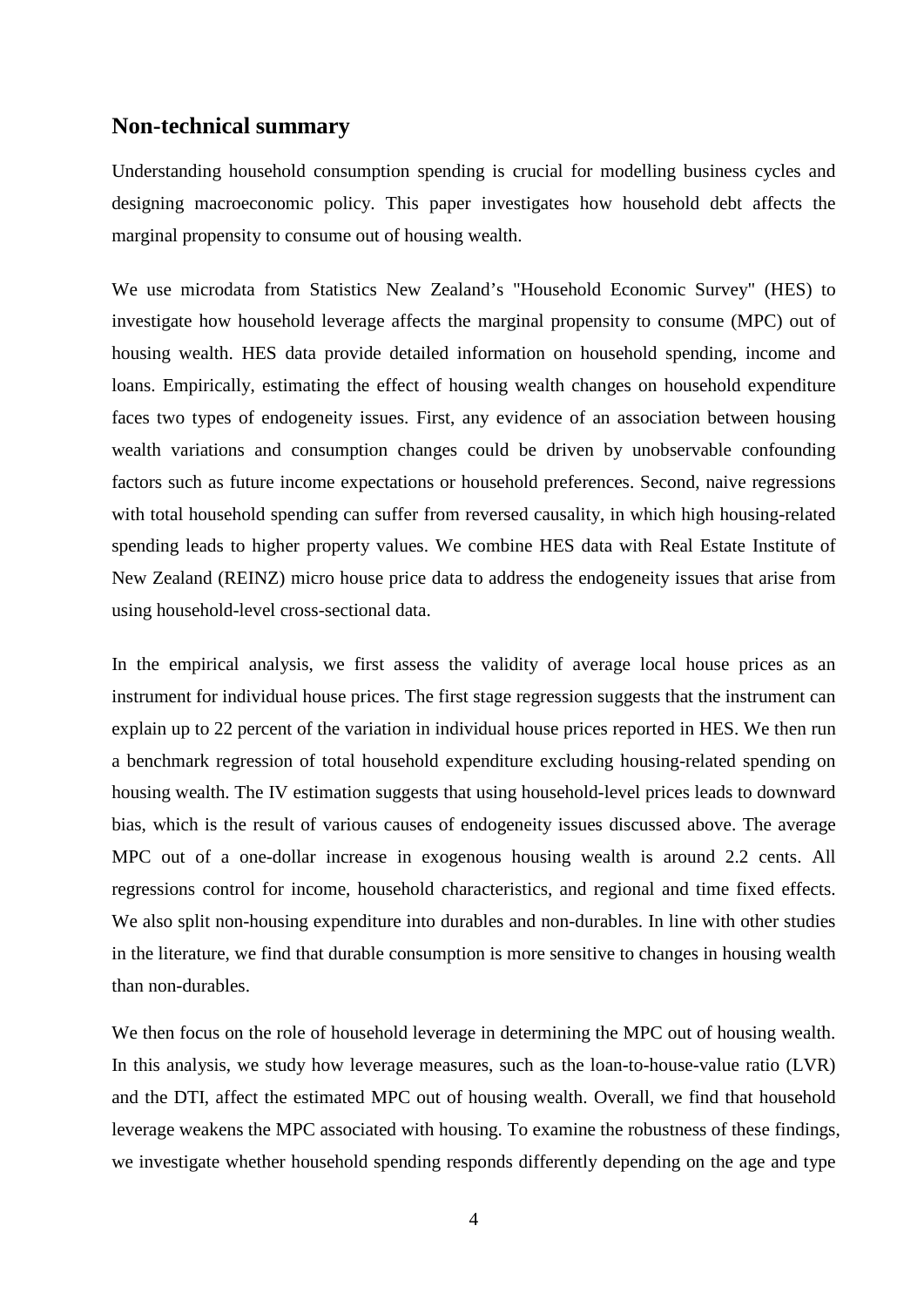### **Non-technical summary**

Understanding household consumption spending is crucial for modelling business cycles and designing macroeconomic policy. This paper investigates how household debt affects the marginal propensity to consume out of housing wealth.

We use microdata from Statistics New Zealand's "Household Economic Survey" (HES) to investigate how household leverage affects the marginal propensity to consume (MPC) out of housing wealth. HES data provide detailed information on household spending, income and loans. Empirically, estimating the effect of housing wealth changes on household expenditure faces two types of endogeneity issues. First, any evidence of an association between housing wealth variations and consumption changes could be driven by unobservable confounding factors such as future income expectations or household preferences. Second, naive regressions with total household spending can suffer from reversed causality, in which high housing-related spending leads to higher property values. We combine HES data with Real Estate Institute of New Zealand (REINZ) micro house price data to address the endogeneity issues that arise from using household-level cross-sectional data.

In the empirical analysis, we first assess the validity of average local house prices as an instrument for individual house prices. The first stage regression suggests that the instrument can explain up to 22 percent of the variation in individual house prices reported in HES. We then run a benchmark regression of total household expenditure excluding housing-related spending on housing wealth. The IV estimation suggests that using household-level prices leads to downward bias, which is the result of various causes of endogeneity issues discussed above. The average MPC out of a one-dollar increase in exogenous housing wealth is around 2.2 cents. All regressions control for income, household characteristics, and regional and time fixed effects. We also split non-housing expenditure into durables and non-durables. In line with other studies in the literature, we find that durable consumption is more sensitive to changes in housing wealth than non-durables.

We then focus on the role of household leverage in determining the MPC out of housing wealth. In this analysis, we study how leverage measures, such as the loan-to-house-value ratio (LVR) and the DTI, affect the estimated MPC out of housing wealth. Overall, we find that household leverage weakens the MPC associated with housing. To examine the robustness of these findings, we investigate whether household spending responds differently depending on the age and type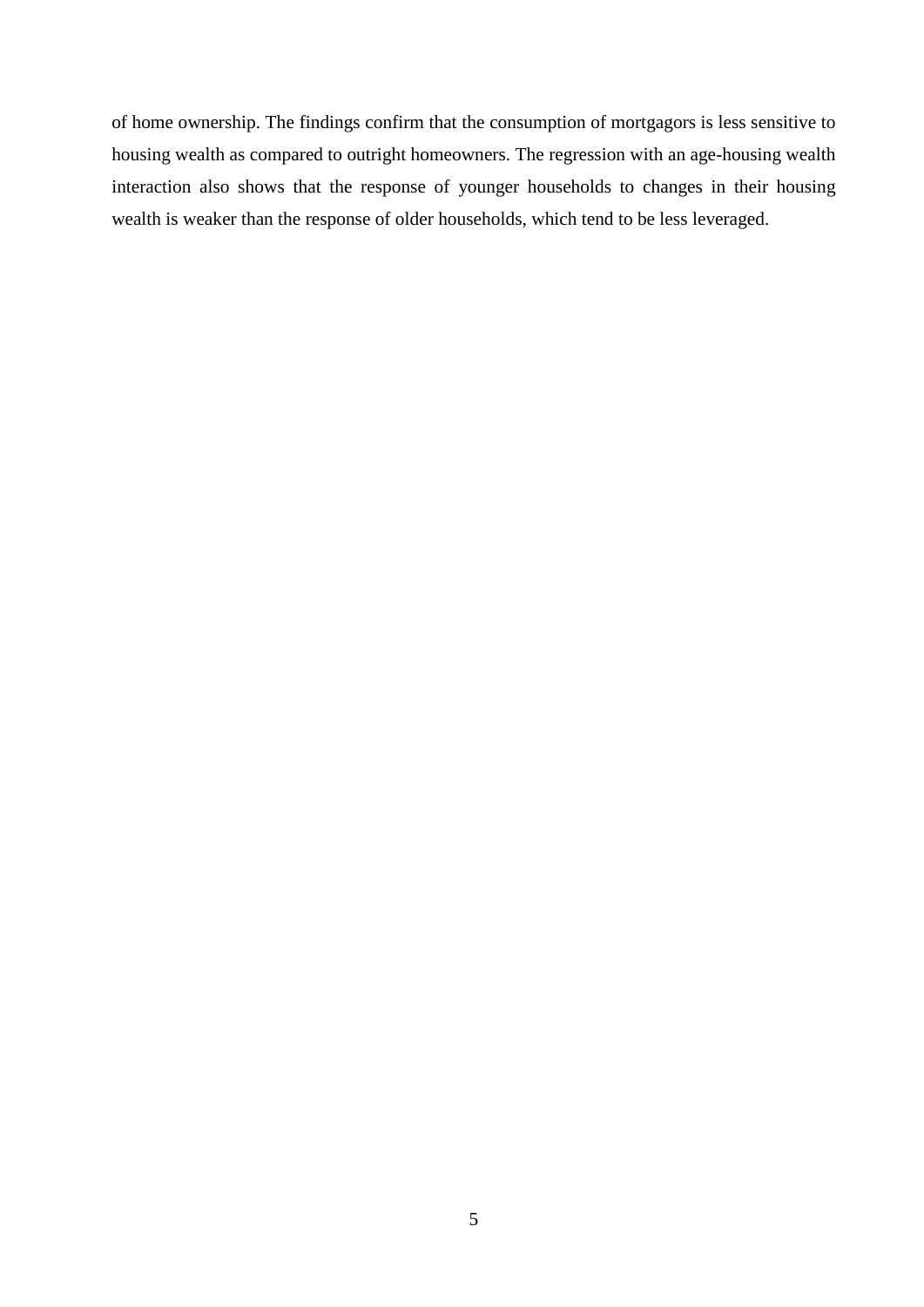of home ownership. The findings confirm that the consumption of mortgagors is less sensitive to housing wealth as compared to outright homeowners. The regression with an age-housing wealth interaction also shows that the response of younger households to changes in their housing wealth is weaker than the response of older households, which tend to be less leveraged.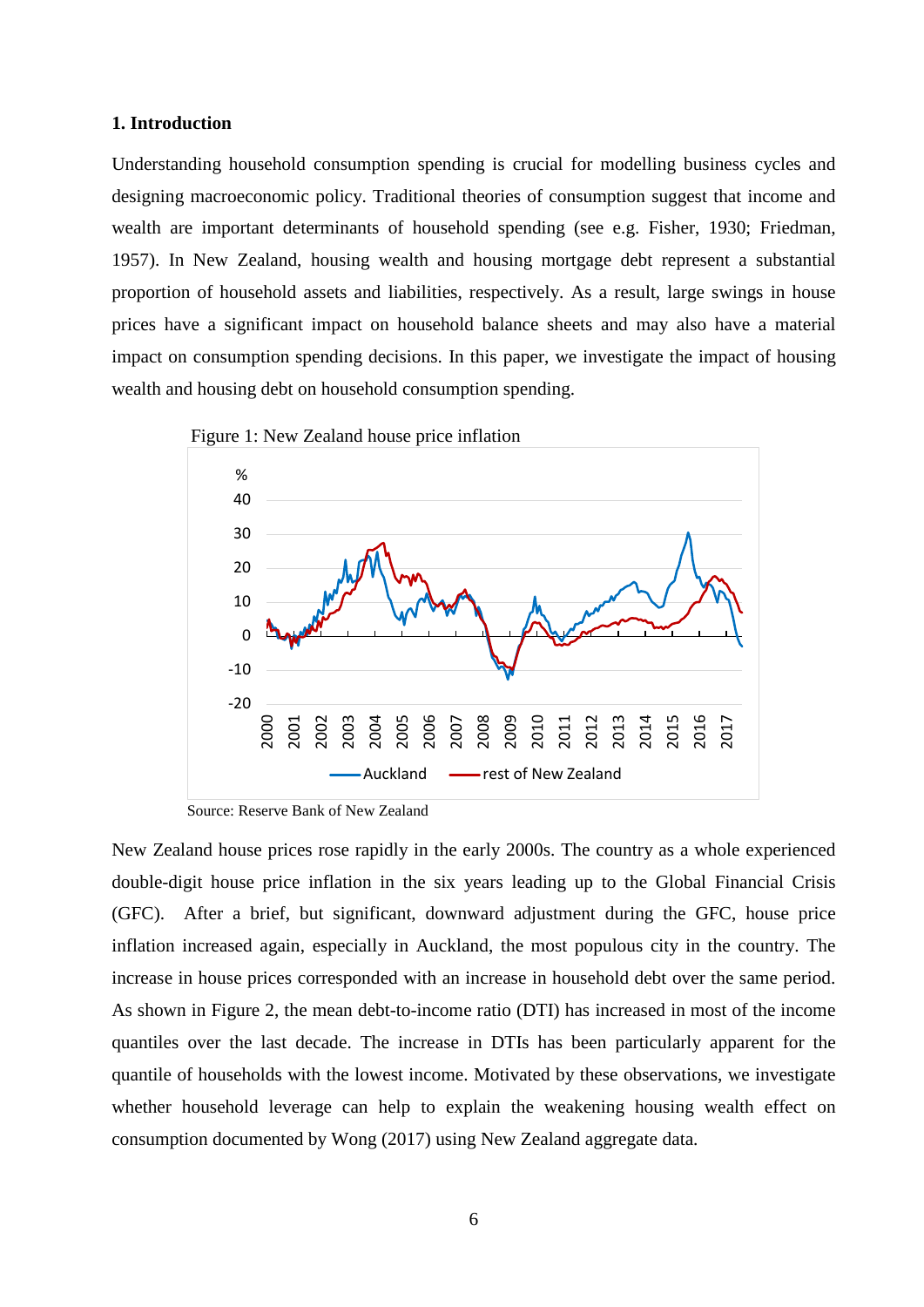#### **1. Introduction**

Understanding household consumption spending is crucial for modelling business cycles and designing macroeconomic policy. Traditional theories of consumption suggest that income and wealth are important determinants of household spending (see e.g. Fisher, 1930; Friedman, 1957). In New Zealand, housing wealth and housing mortgage debt represent a substantial proportion of household assets and liabilities, respectively. As a result, large swings in house prices have a significant impact on household balance sheets and may also have a material impact on consumption spending decisions. In this paper, we investigate the impact of housing wealth and housing debt on household consumption spending.



Source: Reserve Bank of New Zealand

New Zealand house prices rose rapidly in the early 2000s. The country as a whole experienced double-digit house price inflation in the six years leading up to the Global Financial Crisis (GFC). After a brief, but significant, downward adjustment during the GFC, house price inflation increased again, especially in Auckland, the most populous city in the country. The increase in house prices corresponded with an increase in household debt over the same period. As shown in Figure 2, the mean debt-to-income ratio (DTI) has increased in most of the income quantiles over the last decade. The increase in DTIs has been particularly apparent for the quantile of households with the lowest income. Motivated by these observations, we investigate whether household leverage can help to explain the weakening housing wealth effect on consumption documented by Wong (2017) using New Zealand aggregate data.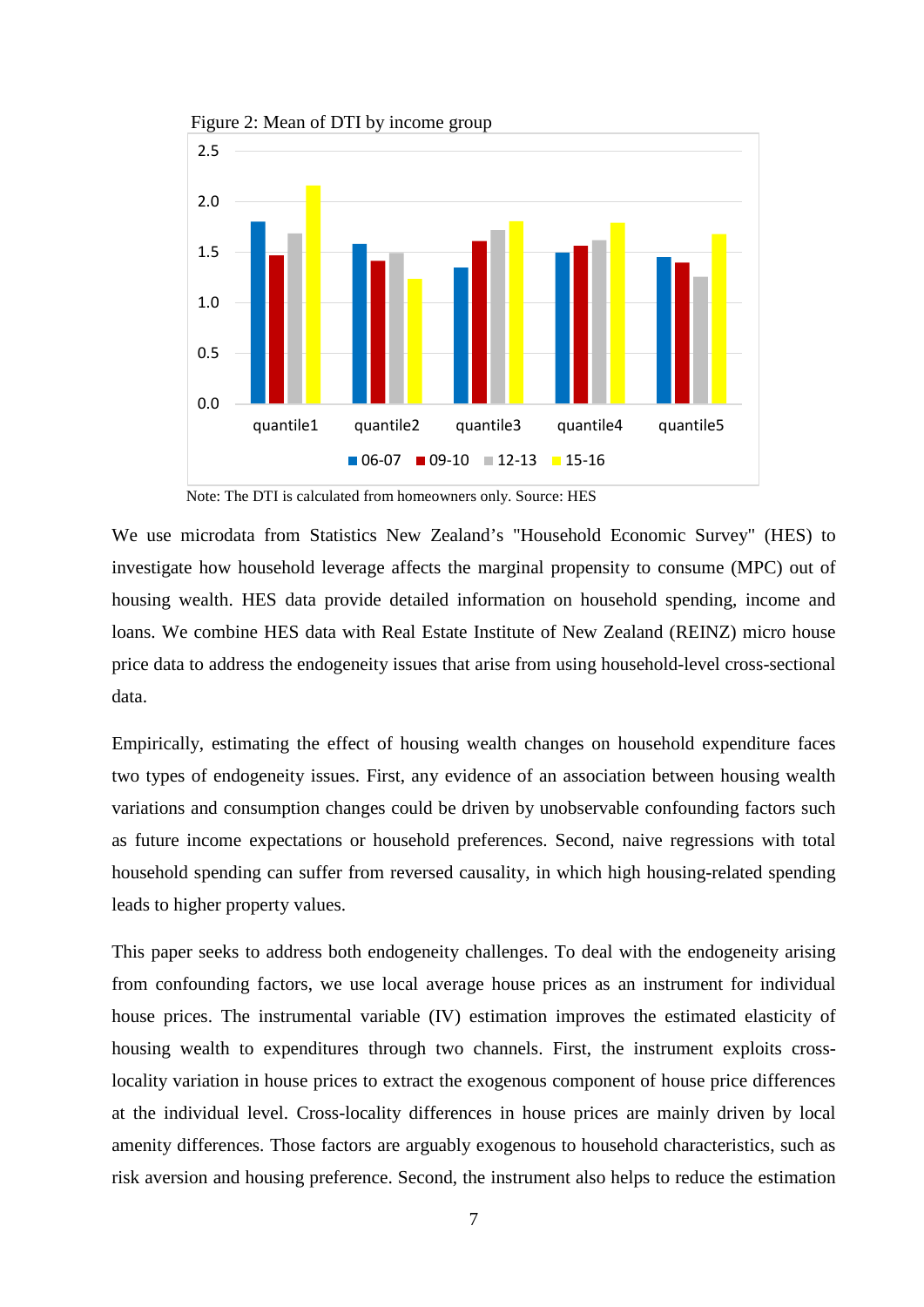

Figure 2: Mean of DTI by income group

Note: The DTI is calculated from homeowners only. Source: HES

We use microdata from Statistics New Zealand's "Household Economic Survey" (HES) to investigate how household leverage affects the marginal propensity to consume (MPC) out of housing wealth. HES data provide detailed information on household spending, income and loans. We combine HES data with Real Estate Institute of New Zealand (REINZ) micro house price data to address the endogeneity issues that arise from using household-level cross-sectional data.

Empirically, estimating the effect of housing wealth changes on household expenditure faces two types of endogeneity issues. First, any evidence of an association between housing wealth variations and consumption changes could be driven by unobservable confounding factors such as future income expectations or household preferences. Second, naive regressions with total household spending can suffer from reversed causality, in which high housing-related spending leads to higher property values.

This paper seeks to address both endogeneity challenges. To deal with the endogeneity arising from confounding factors, we use local average house prices as an instrument for individual house prices. The instrumental variable (IV) estimation improves the estimated elasticity of housing wealth to expenditures through two channels. First, the instrument exploits crosslocality variation in house prices to extract the exogenous component of house price differences at the individual level. Cross-locality differences in house prices are mainly driven by local amenity differences. Those factors are arguably exogenous to household characteristics, such as risk aversion and housing preference. Second, the instrument also helps to reduce the estimation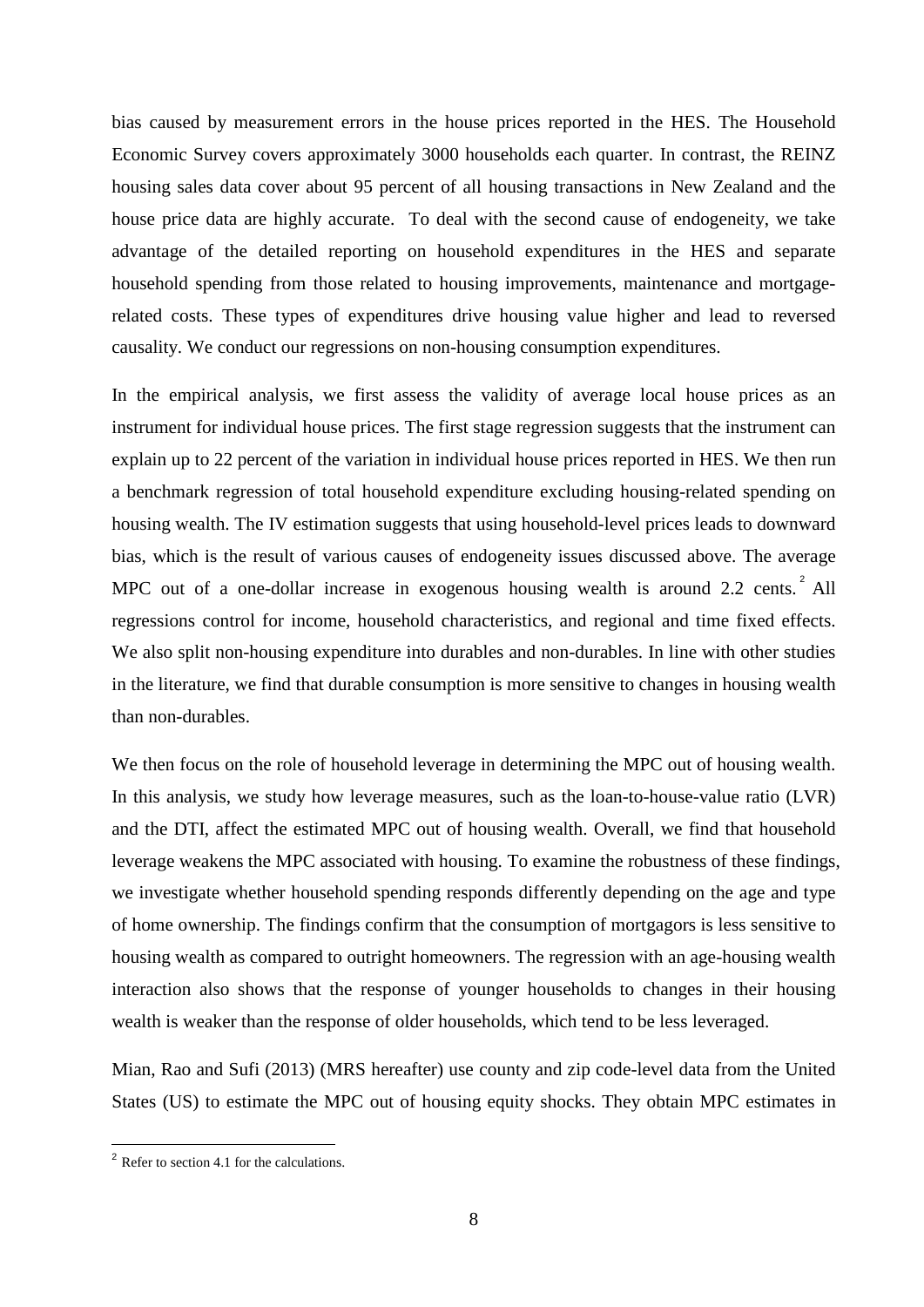bias caused by measurement errors in the house prices reported in the HES. The Household Economic Survey covers approximately 3000 households each quarter. In contrast, the REINZ housing sales data cover about 95 percent of all housing transactions in New Zealand and the house price data are highly accurate. To deal with the second cause of endogeneity, we take advantage of the detailed reporting on household expenditures in the HES and separate household spending from those related to housing improvements, maintenance and mortgagerelated costs. These types of expenditures drive housing value higher and lead to reversed causality. We conduct our regressions on non-housing consumption expenditures.

In the empirical analysis, we first assess the validity of average local house prices as an instrument for individual house prices. The first stage regression suggests that the instrument can explain up to 22 percent of the variation in individual house prices reported in HES. We then run a benchmark regression of total household expenditure excluding housing-related spending on housing wealth. The IV estimation suggests that using household-level prices leads to downward bias, which is the result of various causes of endogeneity issues discussed above. The average MPC out of a one-dollar increase in exogenous housing wealth is around [2](#page-7-0).2 cents.  $2$  All regressions control for income, household characteristics, and regional and time fixed effects. We also split non-housing expenditure into durables and non-durables. In line with other studies in the literature, we find that durable consumption is more sensitive to changes in housing wealth than non-durables.

We then focus on the role of household leverage in determining the MPC out of housing wealth. In this analysis, we study how leverage measures, such as the loan-to-house-value ratio (LVR) and the DTI, affect the estimated MPC out of housing wealth. Overall, we find that household leverage weakens the MPC associated with housing. To examine the robustness of these findings, we investigate whether household spending responds differently depending on the age and type of home ownership. The findings confirm that the consumption of mortgagors is less sensitive to housing wealth as compared to outright homeowners. The regression with an age-housing wealth interaction also shows that the response of younger households to changes in their housing wealth is weaker than the response of older households, which tend to be less leveraged.

Mian, Rao and Sufi (2013) (MRS hereafter) use county and zip code-level data from the United States (US) to estimate the MPC out of housing equity shocks. They obtain MPC estimates in

<span id="page-7-0"></span><sup>2</sup> Refer to section 4.1 for the calculations.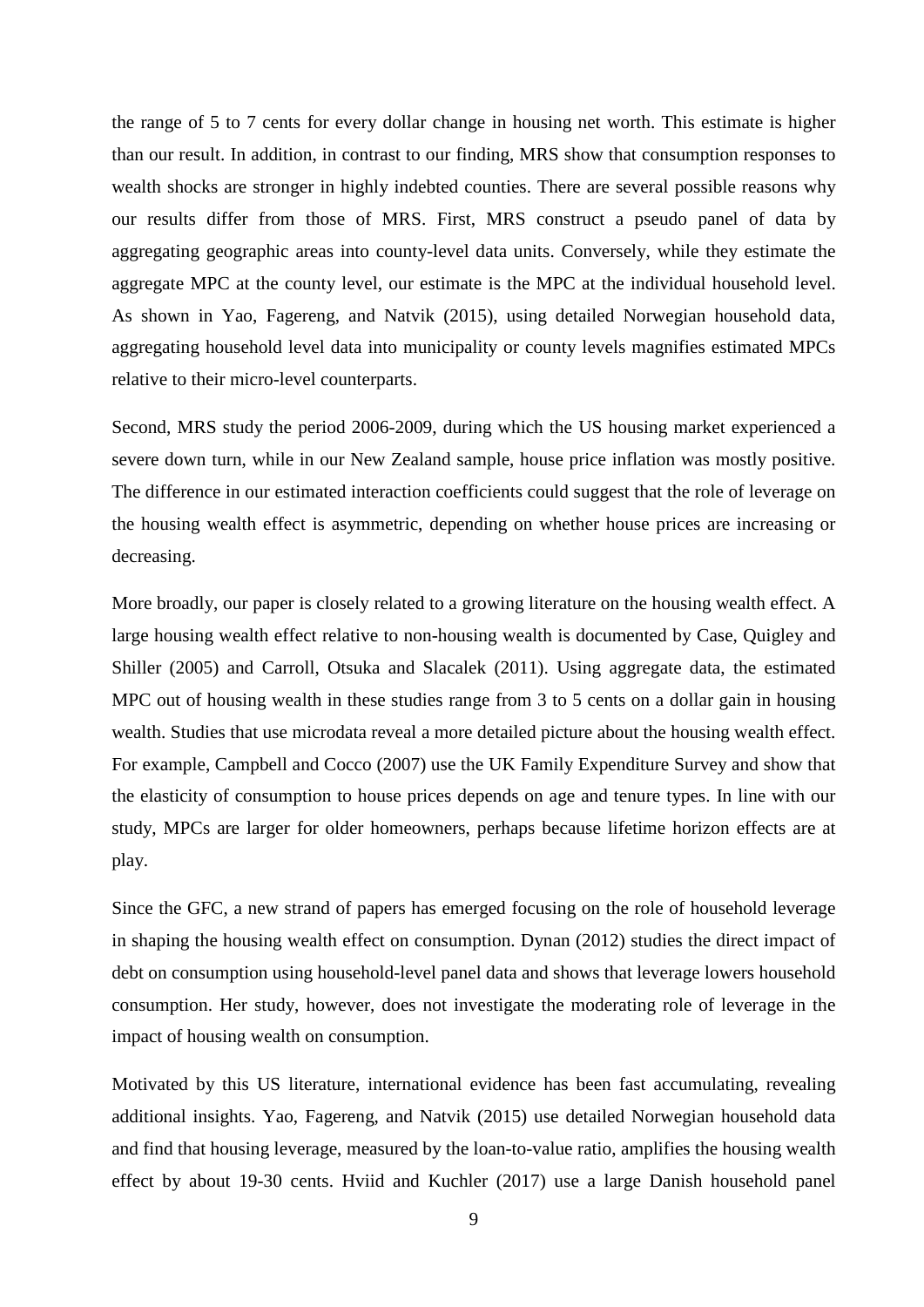the range of 5 to 7 cents for every dollar change in housing net worth. This estimate is higher than our result. In addition, in contrast to our finding, MRS show that consumption responses to wealth shocks are stronger in highly indebted counties. There are several possible reasons why our results differ from those of MRS. First, MRS construct a pseudo panel of data by aggregating geographic areas into county-level data units. Conversely, while they estimate the aggregate MPC at the county level, our estimate is the MPC at the individual household level. As shown in Yao, Fagereng, and Natvik (2015), using detailed Norwegian household data, aggregating household level data into municipality or county levels magnifies estimated MPCs relative to their micro-level counterparts.

Second, MRS study the period 2006-2009, during which the US housing market experienced a severe down turn, while in our New Zealand sample, house price inflation was mostly positive. The difference in our estimated interaction coefficients could suggest that the role of leverage on the housing wealth effect is asymmetric, depending on whether house prices are increasing or decreasing.

More broadly, our paper is closely related to a growing literature on the housing wealth effect. A large housing wealth effect relative to non-housing wealth is documented by Case, Quigley and Shiller (2005) and Carroll, Otsuka and Slacalek (2011). Using aggregate data, the estimated MPC out of housing wealth in these studies range from 3 to 5 cents on a dollar gain in housing wealth. Studies that use microdata reveal a more detailed picture about the housing wealth effect. For example, Campbell and Cocco (2007) use the UK Family Expenditure Survey and show that the elasticity of consumption to house prices depends on age and tenure types. In line with our study, MPCs are larger for older homeowners, perhaps because lifetime horizon effects are at play.

Since the GFC, a new strand of papers has emerged focusing on the role of household leverage in shaping the housing wealth effect on consumption. Dynan (2012) studies the direct impact of debt on consumption using household-level panel data and shows that leverage lowers household consumption. Her study, however, does not investigate the moderating role of leverage in the impact of housing wealth on consumption.

Motivated by this US literature, international evidence has been fast accumulating, revealing additional insights. Yao, Fagereng, and Natvik (2015) use detailed Norwegian household data and find that housing leverage, measured by the loan-to-value ratio, amplifies the housing wealth effect by about 19-30 cents. Hviid and Kuchler (2017) use a large Danish household panel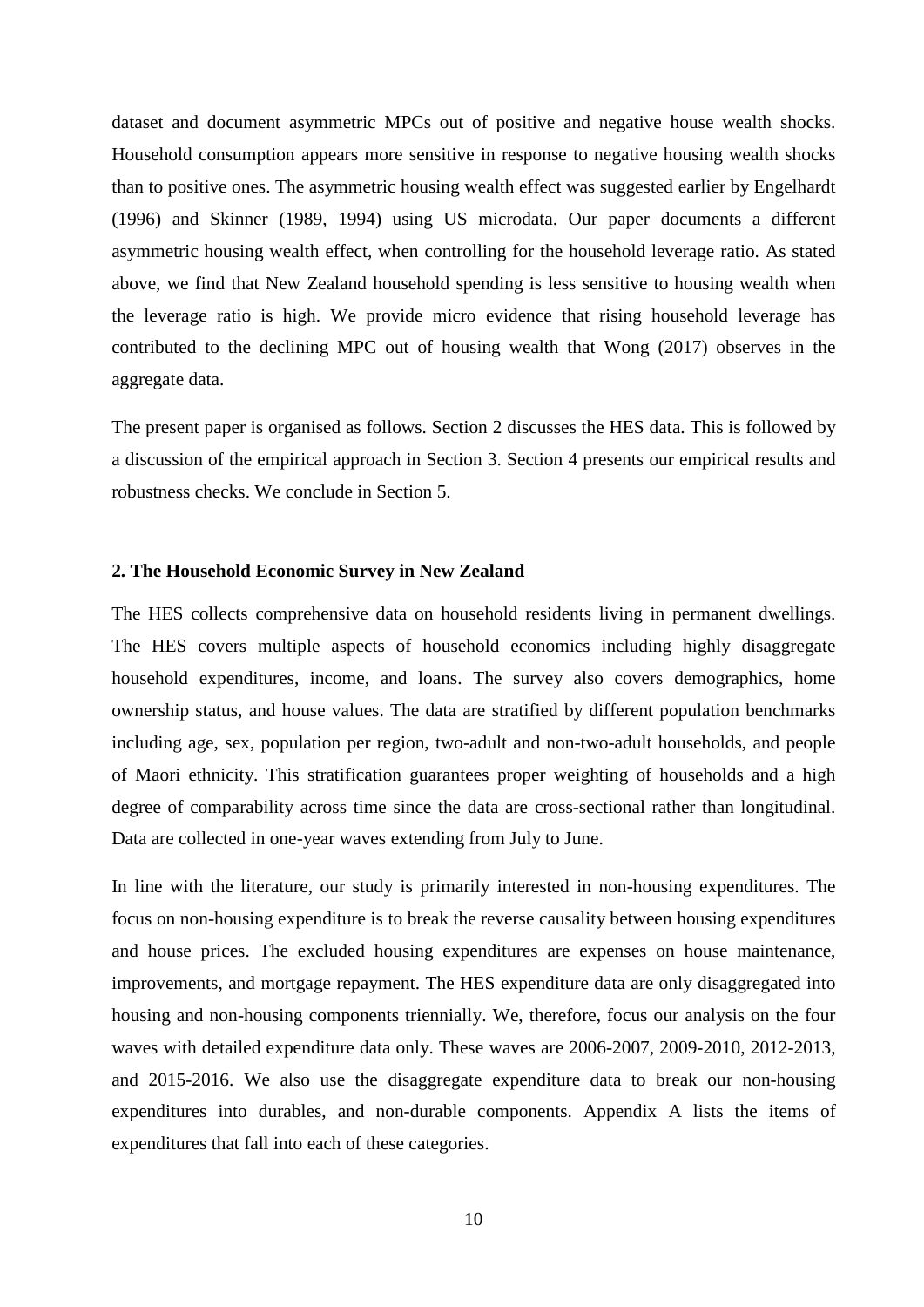dataset and document asymmetric MPCs out of positive and negative house wealth shocks. Household consumption appears more sensitive in response to negative housing wealth shocks than to positive ones. The asymmetric housing wealth effect was suggested earlier by Engelhardt (1996) and Skinner (1989, 1994) using US microdata. Our paper documents a different asymmetric housing wealth effect, when controlling for the household leverage ratio. As stated above, we find that New Zealand household spending is less sensitive to housing wealth when the leverage ratio is high. We provide micro evidence that rising household leverage has contributed to the declining MPC out of housing wealth that Wong (2017) observes in the aggregate data.

The present paper is organised as follows. Section 2 discusses the HES data. This is followed by a discussion of the empirical approach in Section 3. Section 4 presents our empirical results and robustness checks. We conclude in Section 5.

#### **2. The Household Economic Survey in New Zealand**

The HES collects comprehensive data on household residents living in permanent dwellings. The HES covers multiple aspects of household economics including highly disaggregate household expenditures, income, and loans. The survey also covers demographics, home ownership status, and house values. The data are stratified by different population benchmarks including age, sex, population per region, two-adult and non-two-adult households, and people of Maori ethnicity. This stratification guarantees proper weighting of households and a high degree of comparability across time since the data are cross-sectional rather than longitudinal. Data are collected in one-year waves extending from July to June.

In line with the literature, our study is primarily interested in non-housing expenditures. The focus on non-housing expenditure is to break the reverse causality between housing expenditures and house prices. The excluded housing expenditures are expenses on house maintenance, improvements, and mortgage repayment. The HES expenditure data are only disaggregated into housing and non-housing components triennially. We, therefore, focus our analysis on the four waves with detailed expenditure data only. These waves are 2006-2007, 2009-2010, 2012-2013, and 2015-2016. We also use the disaggregate expenditure data to break our non-housing expenditures into durables, and non-durable components. Appendix A lists the items of expenditures that fall into each of these categories.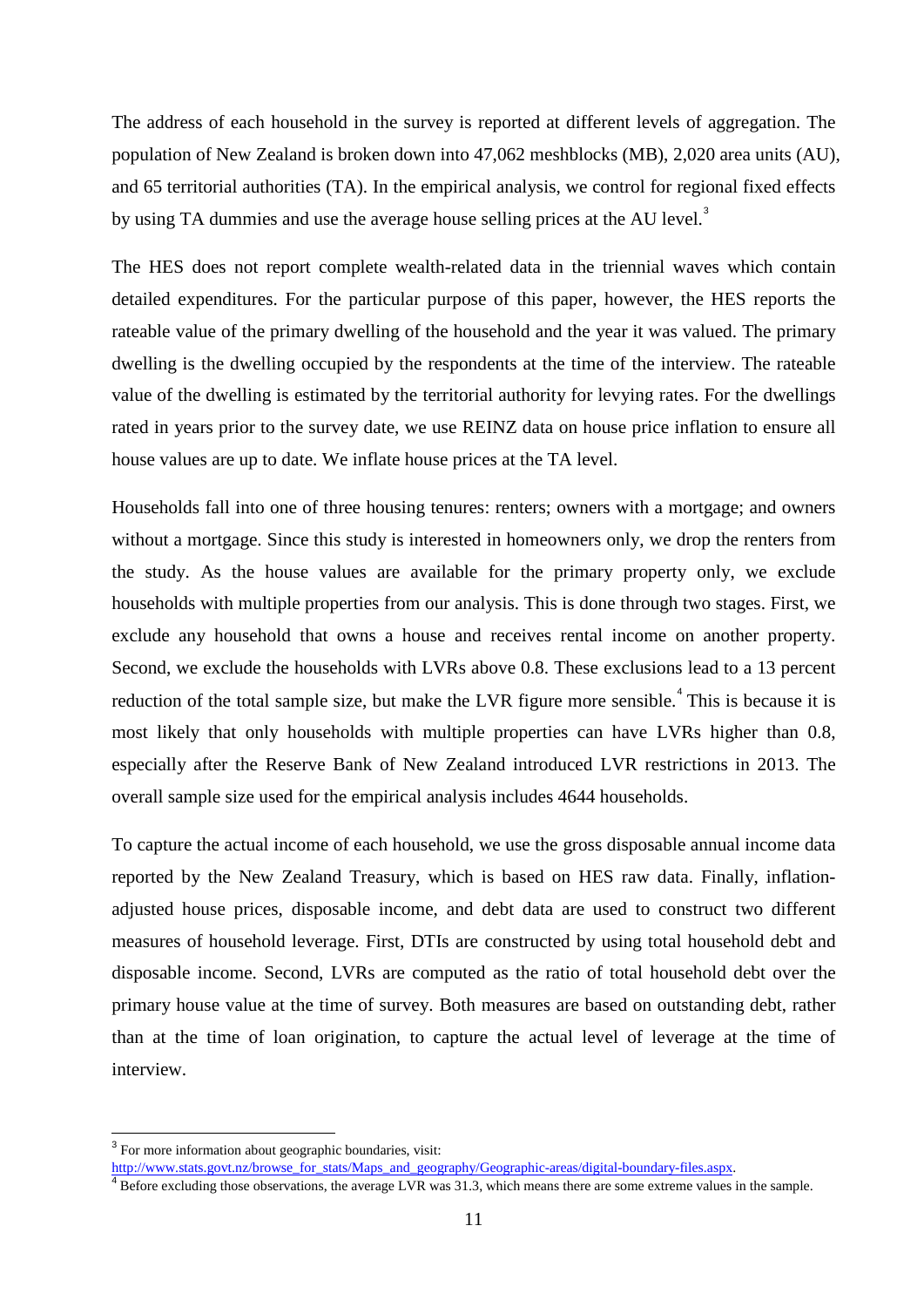The address of each household in the survey is reported at different levels of aggregation. The population of New Zealand is broken down into 47,062 meshblocks (MB), 2,020 area units (AU), and 65 territorial authorities (TA). In the empirical analysis, we control for regional fixed effects by using TA dummies and use the average house selling prices at the AU level.<sup>[3](#page-10-0)</sup>

The HES does not report complete wealth-related data in the triennial waves which contain detailed expenditures. For the particular purpose of this paper, however, the HES reports the rateable value of the primary dwelling of the household and the year it was valued. The primary dwelling is the dwelling occupied by the respondents at the time of the interview. The rateable value of the dwelling is estimated by the territorial authority for levying rates. For the dwellings rated in years prior to the survey date, we use REINZ data on house price inflation to ensure all house values are up to date. We inflate house prices at the TA level.

Households fall into one of three housing tenures: renters; owners with a mortgage; and owners without a mortgage. Since this study is interested in homeowners only, we drop the renters from the study. As the house values are available for the primary property only, we exclude households with multiple properties from our analysis. This is done through two stages. First, we exclude any household that owns a house and receives rental income on another property. Second, we exclude the households with LVRs above 0.8. These exclusions lead to a 13 percent reduction of the total sample size, but make the LVR figure more sensible.<sup> $4$ </sup> This is because it is most likely that only households with multiple properties can have LVRs higher than 0.8, especially after the Reserve Bank of New Zealand introduced LVR restrictions in 2013. The overall sample size used for the empirical analysis includes 4644 households.

To capture the actual income of each household, we use the gross disposable annual income data reported by the New Zealand Treasury, which is based on HES raw data. Finally, inflationadjusted house prices, disposable income, and debt data are used to construct two different measures of household leverage. First, DTIs are constructed by using total household debt and disposable income. Second, LVRs are computed as the ratio of total household debt over the primary house value at the time of survey. Both measures are based on outstanding debt, rather than at the time of loan origination, to capture the actual level of leverage at the time of interview.

<span id="page-10-0"></span><sup>3</sup> For more information about geographic boundaries, visit:

[http://www.stats.govt.nz/browse\\_for\\_stats/Maps\\_and\\_geography/Geographic-areas/digital-boundary-files.aspx.](http://www.stats.govt.nz/browse_for_stats/Maps_and_geography/Geographic-areas/digital-boundary-files.aspx)

<span id="page-10-1"></span> $4$  Before excluding those observations, the average LVR was 31.3, which means there are some extreme values in the sample.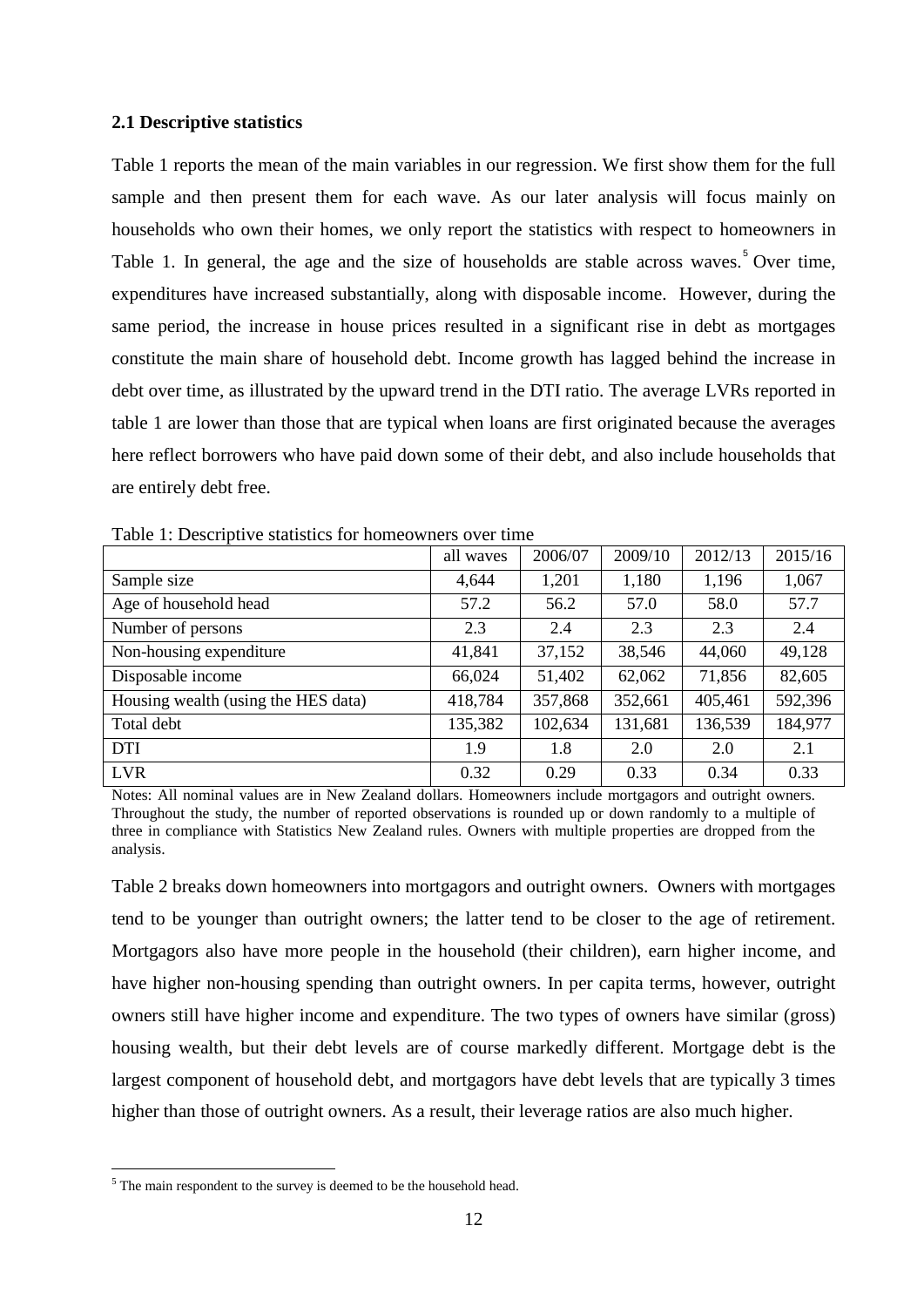#### **2.1 Descriptive statistics**

Table 1 reports the mean of the main variables in our regression. We first show them for the full sample and then present them for each wave. As our later analysis will focus mainly on households who own their homes, we only report the statistics with respect to homeowners in Table 1. In general, the age and the size of households are stable across waves.<sup>[5](#page-11-0)</sup> Over time, expenditures have increased substantially, along with disposable income. However, during the same period, the increase in house prices resulted in a significant rise in debt as mortgages constitute the main share of household debt. Income growth has lagged behind the increase in debt over time, as illustrated by the upward trend in the DTI ratio. The average LVRs reported in table 1 are lower than those that are typical when loans are first originated because the averages here reflect borrowers who have paid down some of their debt, and also include households that are entirely debt free.

| $\mathbf{r}$                        | all waves | 2006/07 | 2009/10 | 2012/13 | 2015/16 |
|-------------------------------------|-----------|---------|---------|---------|---------|
| Sample size                         | 4,644     | 1,201   | 1,180   | 1,196   | 1,067   |
| Age of household head               | 57.2      | 56.2    | 57.0    | 58.0    | 57.7    |
| Number of persons                   | 2.3       | 2.4     | 2.3     | 2.3     | 2.4     |
| Non-housing expenditure             | 41,841    | 37,152  | 38,546  | 44,060  | 49,128  |
| Disposable income                   | 66,024    | 51,402  | 62,062  | 71,856  | 82,605  |
| Housing wealth (using the HES data) | 418,784   | 357,868 | 352,661 | 405,461 | 592,396 |
| Total debt                          | 135,382   | 102,634 | 131,681 | 136,539 | 184,977 |
| <b>DTI</b>                          | 1.9       | 1.8     | 2.0     | 2.0     | 2.1     |
| <b>LVR</b>                          | 0.32      | 0.29    | 0.33    | 0.34    | 0.33    |

Table 1: Descriptive statistics for homeowners over time

Notes: All nominal values are in New Zealand dollars. Homeowners include mortgagors and outright owners. Throughout the study, the number of reported observations is rounded up or down randomly to a multiple of three in compliance with Statistics New Zealand rules. Owners with multiple properties are dropped from the analysis.

Table 2 breaks down homeowners into mortgagors and outright owners. Owners with mortgages tend to be younger than outright owners; the latter tend to be closer to the age of retirement. Mortgagors also have more people in the household (their children), earn higher income, and have higher non-housing spending than outright owners. In per capita terms, however, outright owners still have higher income and expenditure. The two types of owners have similar (gross) housing wealth, but their debt levels are of course markedly different. Mortgage debt is the largest component of household debt, and mortgagors have debt levels that are typically 3 times higher than those of outright owners. As a result, their leverage ratios are also much higher.

<span id="page-11-0"></span><sup>&</sup>lt;sup>5</sup> The main respondent to the survey is deemed to be the household head.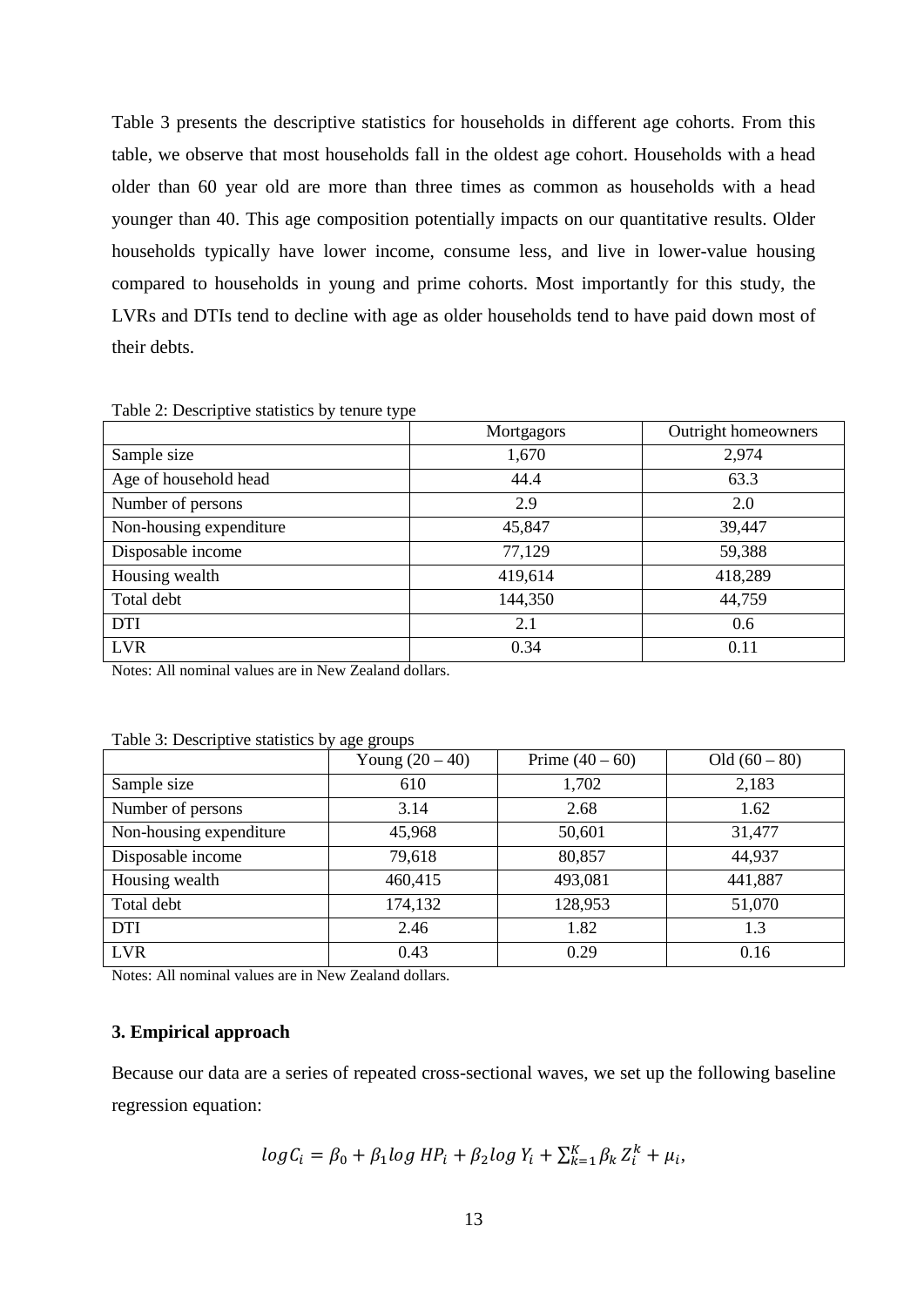Table 3 presents the descriptive statistics for households in different age cohorts. From this table, we observe that most households fall in the oldest age cohort. Households with a head older than 60 year old are more than three times as common as households with a head younger than 40. This age composition potentially impacts on our quantitative results. Older households typically have lower income, consume less, and live in lower-value housing compared to households in young and prime cohorts. Most importantly for this study, the LVRs and DTIs tend to decline with age as older households tend to have paid down most of their debts.

| Table 2: Descriptive statistics by tenure type |  |  |  |
|------------------------------------------------|--|--|--|
|------------------------------------------------|--|--|--|

|                         | Mortgagors | Outright homeowners |
|-------------------------|------------|---------------------|
| Sample size             | 1,670      | 2,974               |
| Age of household head   | 44.4       | 63.3                |
| Number of persons       | 2.9        | 2.0                 |
| Non-housing expenditure | 45,847     | 39,447              |
| Disposable income       | 77,129     | 59,388              |
| Housing wealth          | 419,614    | 418,289             |
| Total debt              | 144,350    | 44,759              |
| <b>DTI</b>              | 2.1        | 0.6                 |
| <b>LVR</b>              | 0.34       | 0.11                |

Notes: All nominal values are in New Zealand dollars.

|                         | Young $(20 – 40)$ | Prime $(40 - 60)$ | Old $(60 - 80)$ |
|-------------------------|-------------------|-------------------|-----------------|
| Sample size             | 610               | 1,702             | 2,183           |
| Number of persons       | 3.14              | 2.68              | 1.62            |
| Non-housing expenditure | 45,968            | 50,601            | 31,477          |
| Disposable income       | 79,618            | 80,857            | 44,937          |
| Housing wealth          | 460,415           | 493,081           | 441,887         |
| Total debt              | 174,132           | 128,953           | 51,070          |
| <b>DTI</b>              | 2.46              | 1.82              | 1.3             |
| <b>LVR</b>              | 0.43              | 0.29              | 0.16            |

Table 3: Descriptive statistics by age groups

Notes: All nominal values are in New Zealand dollars.

#### **3. Empirical approach**

Because our data are a series of repeated cross-sectional waves, we set up the following baseline regression equation:

$$
logC_i = \beta_0 + \beta_1 log HP_i + \beta_2 log Y_i + \sum_{k=1}^{K} \beta_k Z_i^k + \mu_i,
$$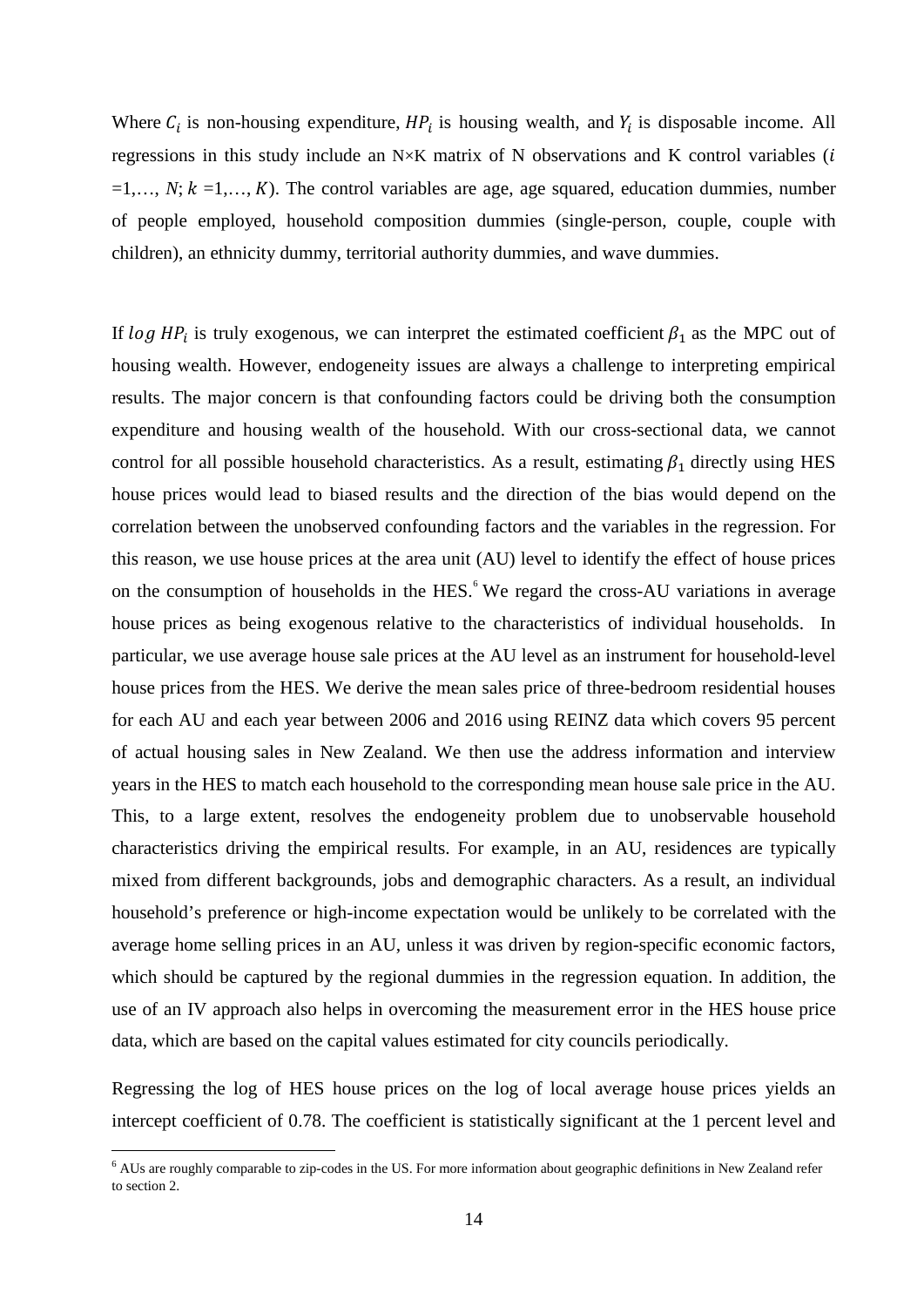Where  $C_i$  is non-housing expenditure,  $HP_i$  is housing wealth, and  $Y_i$  is disposable income. All regressions in this study include an  $N \times K$  matrix of N observations and K control variables ( $i$  $=1,..., N$ ;  $k = 1,..., K$ ). The control variables are age, age squared, education dummies, number of people employed, household composition dummies (single-person, couple, couple with children), an ethnicity dummy, territorial authority dummies, and wave dummies.

If  $\log HP_i$  is truly exogenous, we can interpret the estimated coefficient  $\beta_1$  as the MPC out of housing wealth. However, endogeneity issues are always a challenge to interpreting empirical results. The major concern is that confounding factors could be driving both the consumption expenditure and housing wealth of the household. With our cross-sectional data, we cannot control for all possible household characteristics. As a result, estimating  $\beta_1$  directly using HES house prices would lead to biased results and the direction of the bias would depend on the correlation between the unobserved confounding factors and the variables in the regression. For this reason, we use house prices at the area unit (AU) level to identify the effect of house prices on the consumption of households in the HES.<sup>[6](#page-13-0)</sup> We regard the cross-AU variations in average house prices as being exogenous relative to the characteristics of individual households. In particular, we use average house sale prices at the AU level as an instrument for household-level house prices from the HES. We derive the mean sales price of three-bedroom residential houses for each AU and each year between 2006 and 2016 using REINZ data which covers 95 percent of actual housing sales in New Zealand. We then use the address information and interview years in the HES to match each household to the corresponding mean house sale price in the AU. This, to a large extent, resolves the endogeneity problem due to unobservable household characteristics driving the empirical results. For example, in an AU, residences are typically mixed from different backgrounds, jobs and demographic characters. As a result, an individual household's preference or high-income expectation would be unlikely to be correlated with the average home selling prices in an AU, unless it was driven by region-specific economic factors, which should be captured by the regional dummies in the regression equation. In addition, the use of an IV approach also helps in overcoming the measurement error in the HES house price data, which are based on the capital values estimated for city councils periodically.

Regressing the log of HES house prices on the log of local average house prices yields an intercept coefficient of 0.78. The coefficient is statistically significant at the 1 percent level and

<span id="page-13-0"></span> $6$  AUs are roughly comparable to zip-codes in the US. For more information about geographic definitions in New Zealand refer to section 2.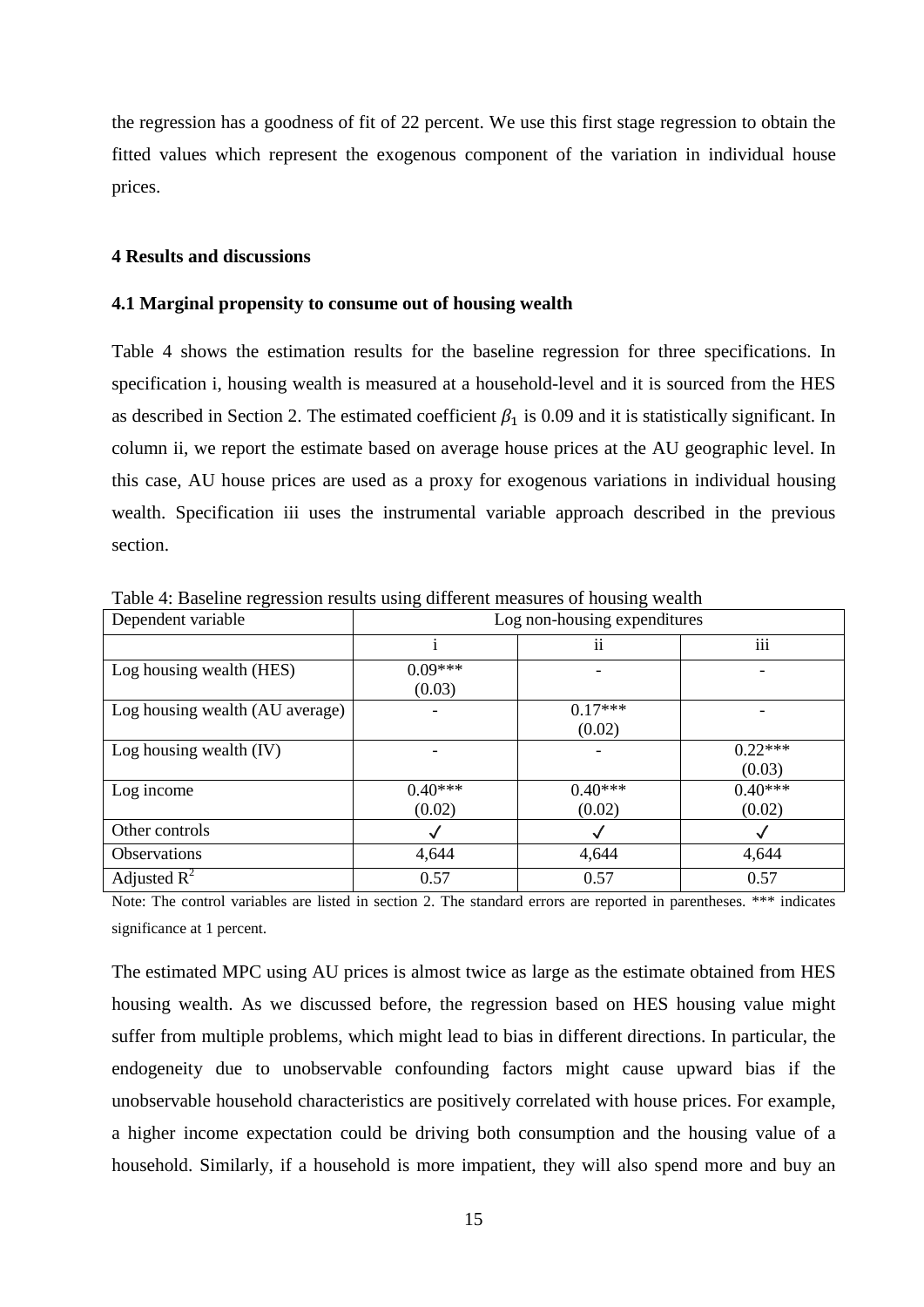the regression has a goodness of fit of 22 percent. We use this first stage regression to obtain the fitted values which represent the exogenous component of the variation in individual house prices.

#### **4 Results and discussions**

#### **4.1 Marginal propensity to consume out of housing wealth**

Table 4 shows the estimation results for the baseline regression for three specifications. In specification i, housing wealth is measured at a household-level and it is sourced from the HES as described in Section 2. The estimated coefficient  $\beta_1$  is 0.09 and it is statistically significant. In column ii, we report the estimate based on average house prices at the AU geographic level. In this case, AU house prices are used as a proxy for exogenous variations in individual housing wealth. Specification iii uses the instrumental variable approach described in the previous section.

| Dependent variable              |           | Log non-housing expenditures |           |
|---------------------------------|-----------|------------------------------|-----------|
|                                 |           | $\mathbf{ii}$                | iii       |
| Log housing wealth (HES)        | $0.09***$ |                              |           |
|                                 | (0.03)    |                              |           |
| Log housing wealth (AU average) |           | $0.17***$                    |           |
|                                 |           | (0.02)                       |           |
| Log housing wealth $(IV)$       |           |                              | $0.22***$ |
|                                 |           |                              | (0.03)    |
| Log income                      | $0.40***$ | $0.40***$                    | $0.40***$ |
|                                 | (0.02)    | (0.02)                       | (0.02)    |
| Other controls                  |           |                              |           |
| Observations                    | 4,644     | 4,644                        | 4,644     |
| Adjusted $R^2$                  | 0.57      | 0.57                         | 0.57      |

Table 4: Baseline regression results using different measures of housing wealth

Note: The control variables are listed in section 2. The standard errors are reported in parentheses. \*\*\* indicates significance at 1 percent.

The estimated MPC using AU prices is almost twice as large as the estimate obtained from HES housing wealth. As we discussed before, the regression based on HES housing value might suffer from multiple problems, which might lead to bias in different directions. In particular, the endogeneity due to unobservable confounding factors might cause upward bias if the unobservable household characteristics are positively correlated with house prices. For example, a higher income expectation could be driving both consumption and the housing value of a household. Similarly, if a household is more impatient, they will also spend more and buy an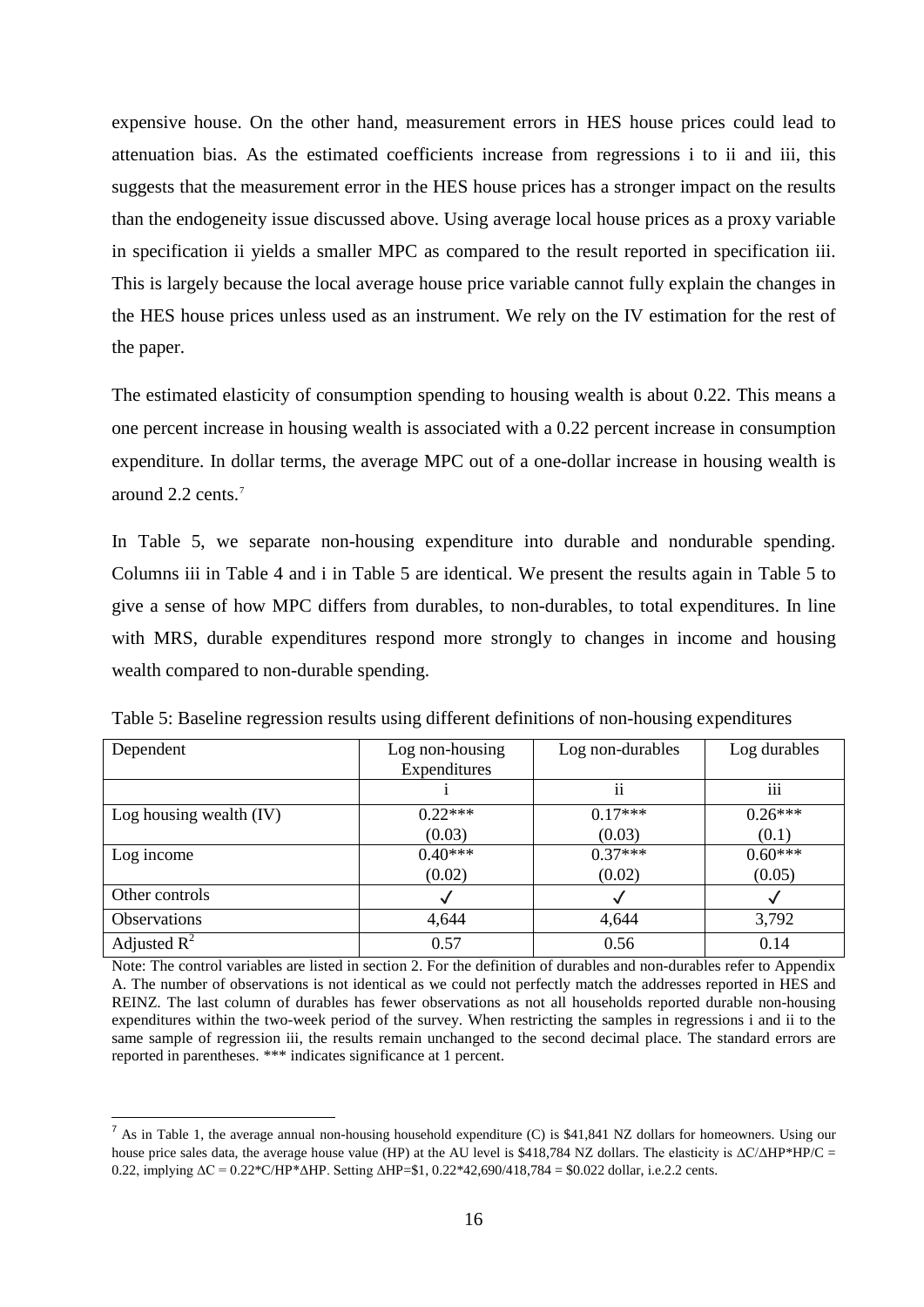expensive house. On the other hand, measurement errors in HES house prices could lead to attenuation bias. As the estimated coefficients increase from regressions i to ii and iii, this suggests that the measurement error in the HES house prices has a stronger impact on the results than the endogeneity issue discussed above. Using average local house prices as a proxy variable in specification ii yields a smaller MPC as compared to the result reported in specification iii. This is largely because the local average house price variable cannot fully explain the changes in the HES house prices unless used as an instrument. We rely on the IV estimation for the rest of the paper.

The estimated elasticity of consumption spending to housing wealth is about 0.22. This means a one percent increase in housing wealth is associated with a 0.22 percent increase in consumption expenditure. In dollar terms, the average MPC out of a one-dollar increase in housing wealth is around 2.2 cents.[7](#page-15-0)

In Table 5, we separate non-housing expenditure into durable and nondurable spending. Columns iii in Table 4 and i in Table 5 are identical. We present the results again in Table 5 to give a sense of how MPC differs from durables, to non-durables, to total expenditures. In line with MRS, durable expenditures respond more strongly to changes in income and housing wealth compared to non-durable spending.

| Dependent                 | Log non-housing | Log non-durables | Log durables |
|---------------------------|-----------------|------------------|--------------|
|                           | Expenditures    |                  |              |
|                           |                 | ii               | iii          |
| Log housing wealth $(IV)$ | $0.22***$       | $0.17***$        | $0.26***$    |
|                           | (0.03)          | (0.03)           | (0.1)        |
| Log income                | $0.40***$       | $0.37***$        | $0.60***$    |
|                           | (0.02)          | (0.02)           | (0.05)       |
| Other controls            |                 |                  |              |
| <b>Observations</b>       | 4,644           | 4,644            | 3,792        |
| Adjusted $R^2$            | 0.57            | 0.56             | 0.14         |

Table 5: Baseline regression results using different definitions of non-housing expenditures

Note: The control variables are listed in section 2. For the definition of durables and non-durables refer to Appendix A. The number of observations is not identical as we could not perfectly match the addresses reported in HES and REINZ. The last column of durables has fewer observations as not all households reported durable non-housing expenditures within the two-week period of the survey. When restricting the samples in regressions i and ii to the same sample of regression iii, the results remain unchanged to the second decimal place. The standard errors are reported in parentheses. \*\*\* indicates significance at 1 percent.

<span id="page-15-0"></span> $<sup>7</sup>$  As in Table 1, the average annual non-housing household expenditure (C) is \$41,841 NZ dollars for homeowners. Using our</sup> house price sales data, the average house value (HP) at the AU level is \$418,784 NZ dollars. The elasticity is  $\Delta C/\Delta H$ P\*HP/C = 0.22, implying ΔC = 0.22\*C/HP\*ΔHP. Setting ΔHP=\$1, 0.22\*42,690/418,784 = \$0.022 dollar, i.e.2.2 cents.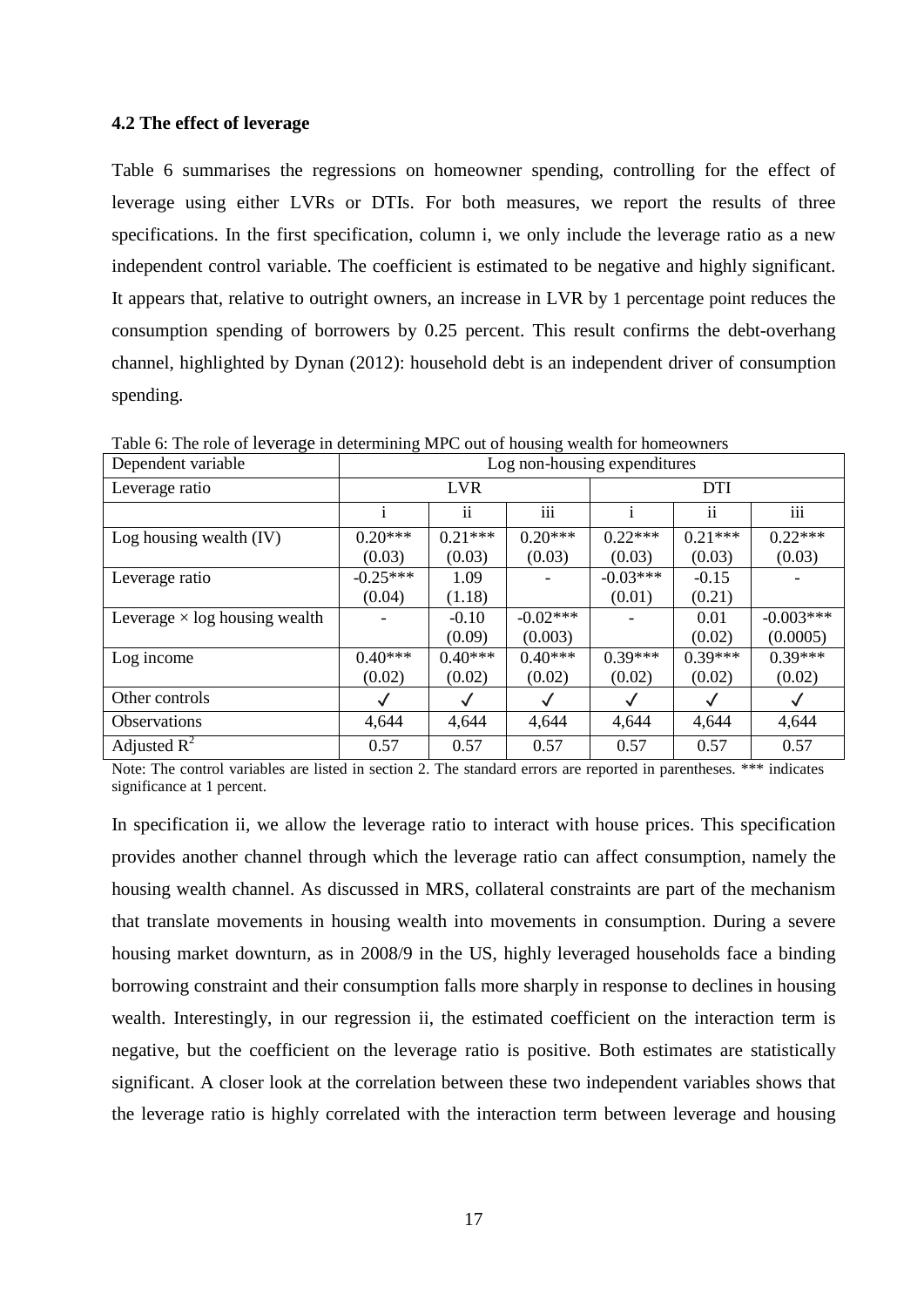#### **4.2 The effect of leverage**

Table 6 summarises the regressions on homeowner spending, controlling for the effect of leverage using either LVRs or DTIs. For both measures, we report the results of three specifications. In the first specification, column i, we only include the leverage ratio as a new independent control variable. The coefficient is estimated to be negative and highly significant. It appears that, relative to outright owners, an increase in LVR by 1 percentage point reduces the consumption spending of borrowers by 0.25 percent. This result confirms the debt-overhang channel, highlighted by Dynan (2012): household debt is an independent driver of consumption spending.

| Dependent variable                   | Log non-housing expenditures |               |            |            |           |              |
|--------------------------------------|------------------------------|---------------|------------|------------|-----------|--------------|
| Leverage ratio                       |                              | <b>LVR</b>    |            | <b>DTI</b> |           |              |
|                                      |                              | $\mathbf{ii}$ | iii        |            | ii        | iii          |
| Log housing wealth $(IV)$            | $0.20***$                    | $0.21***$     | $0.20***$  | $0.22***$  | $0.21***$ | $0.22***$    |
|                                      | (0.03)                       | (0.03)        | (0.03)     | (0.03)     | (0.03)    | (0.03)       |
| Leverage ratio                       | $-0.25***$                   | 1.09          |            | $-0.03***$ | $-0.15$   |              |
|                                      | (0.04)                       | (1.18)        |            | (0.01)     | (0.21)    |              |
| Leverage $\times$ log housing wealth |                              | $-0.10$       | $-0.02***$ |            | 0.01      | $-0.003***$  |
|                                      |                              | (0.09)        | (0.003)    |            | (0.02)    | (0.0005)     |
| Log income                           | $0.40***$                    | $0.40***$     | $0.40***$  | $0.39***$  | $0.39***$ | $0.39***$    |
|                                      | (0.02)                       | (0.02)        | (0.02)     | (0.02)     | (0.02)    | (0.02)       |
| Other controls                       |                              |               |            |            |           | $\checkmark$ |
| Observations                         | 4,644                        | 4,644         | 4,644      | 4,644      | 4,644     | 4,644        |
| Adjusted $\mathbb{R}^2$              | 0.57                         | 0.57          | 0.57       | 0.57       | 0.57      | 0.57         |

Table 6: The role of leverage in determining MPC out of housing wealth for homeowners

Note: The control variables are listed in section 2. The standard errors are reported in parentheses. \*\*\* indicates significance at 1 percent.

In specification ii, we allow the leverage ratio to interact with house prices. This specification provides another channel through which the leverage ratio can affect consumption, namely the housing wealth channel. As discussed in MRS, collateral constraints are part of the mechanism that translate movements in housing wealth into movements in consumption. During a severe housing market downturn, as in 2008/9 in the US, highly leveraged households face a binding borrowing constraint and their consumption falls more sharply in response to declines in housing wealth. Interestingly, in our regression ii, the estimated coefficient on the interaction term is negative, but the coefficient on the leverage ratio is positive. Both estimates are statistically significant. A closer look at the correlation between these two independent variables shows that the leverage ratio is highly correlated with the interaction term between leverage and housing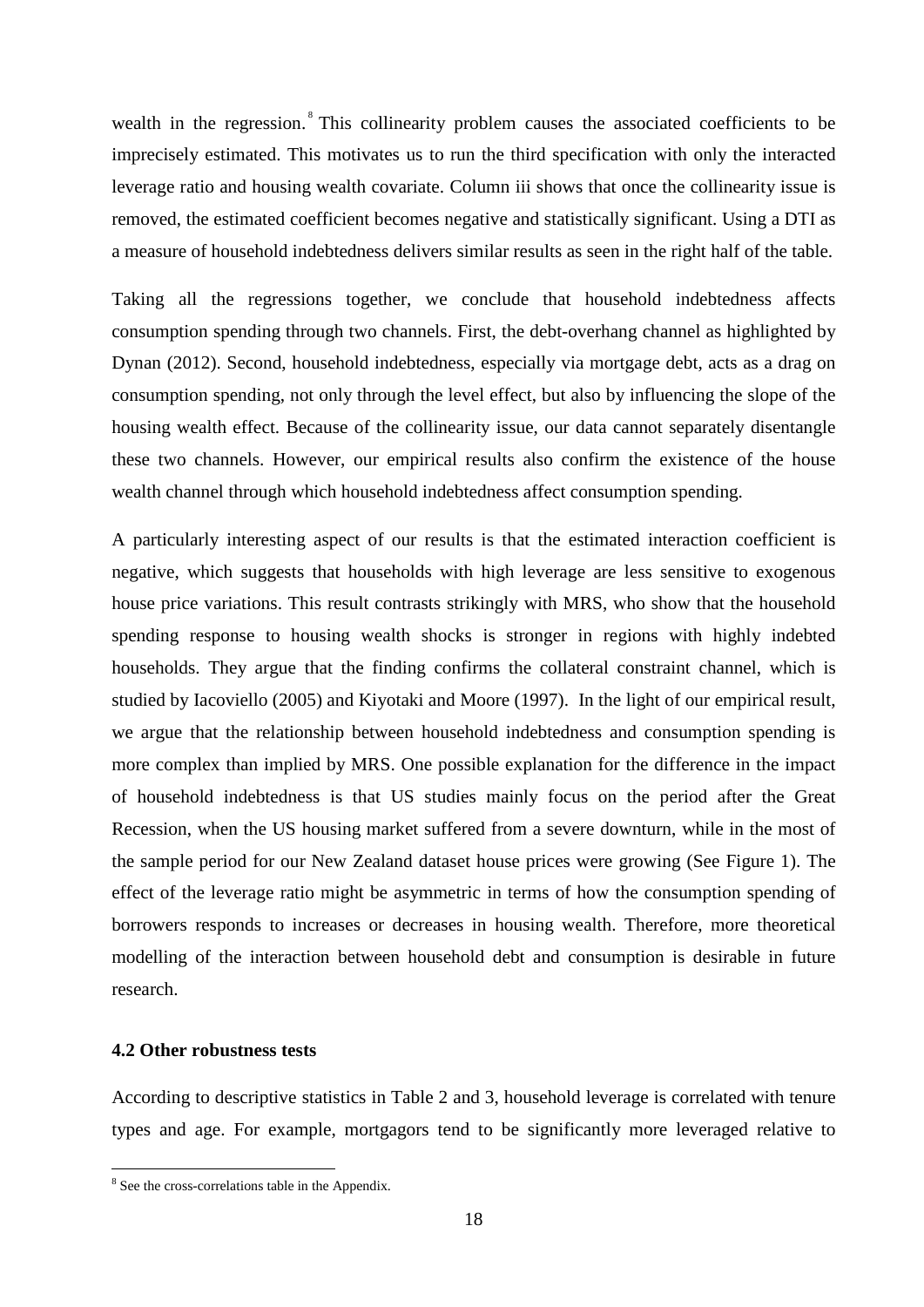wealth in the regression.<sup>[8](#page-17-0)</sup> This collinearity problem causes the associated coefficients to be imprecisely estimated. This motivates us to run the third specification with only the interacted leverage ratio and housing wealth covariate. Column iii shows that once the collinearity issue is removed, the estimated coefficient becomes negative and statistically significant. Using a DTI as a measure of household indebtedness delivers similar results as seen in the right half of the table.

Taking all the regressions together, we conclude that household indebtedness affects consumption spending through two channels. First, the debt-overhang channel as highlighted by Dynan (2012). Second, household indebtedness, especially via mortgage debt, acts as a drag on consumption spending, not only through the level effect, but also by influencing the slope of the housing wealth effect. Because of the collinearity issue, our data cannot separately disentangle these two channels. However, our empirical results also confirm the existence of the house wealth channel through which household indebtedness affect consumption spending.

A particularly interesting aspect of our results is that the estimated interaction coefficient is negative, which suggests that households with high leverage are less sensitive to exogenous house price variations. This result contrasts strikingly with MRS, who show that the household spending response to housing wealth shocks is stronger in regions with highly indebted households. They argue that the finding confirms the collateral constraint channel, which is studied by Iacoviello (2005) and Kiyotaki and Moore (1997). In the light of our empirical result, we argue that the relationship between household indebtedness and consumption spending is more complex than implied by MRS. One possible explanation for the difference in the impact of household indebtedness is that US studies mainly focus on the period after the Great Recession, when the US housing market suffered from a severe downturn, while in the most of the sample period for our New Zealand dataset house prices were growing (See Figure 1). The effect of the leverage ratio might be asymmetric in terms of how the consumption spending of borrowers responds to increases or decreases in housing wealth. Therefore, more theoretical modelling of the interaction between household debt and consumption is desirable in future research.

#### **4.2 Other robustness tests**

According to descriptive statistics in Table 2 and 3, household leverage is correlated with tenure types and age. For example, mortgagors tend to be significantly more leveraged relative to

<span id="page-17-0"></span><sup>&</sup>lt;sup>8</sup> See the cross-correlations table in the Appendix.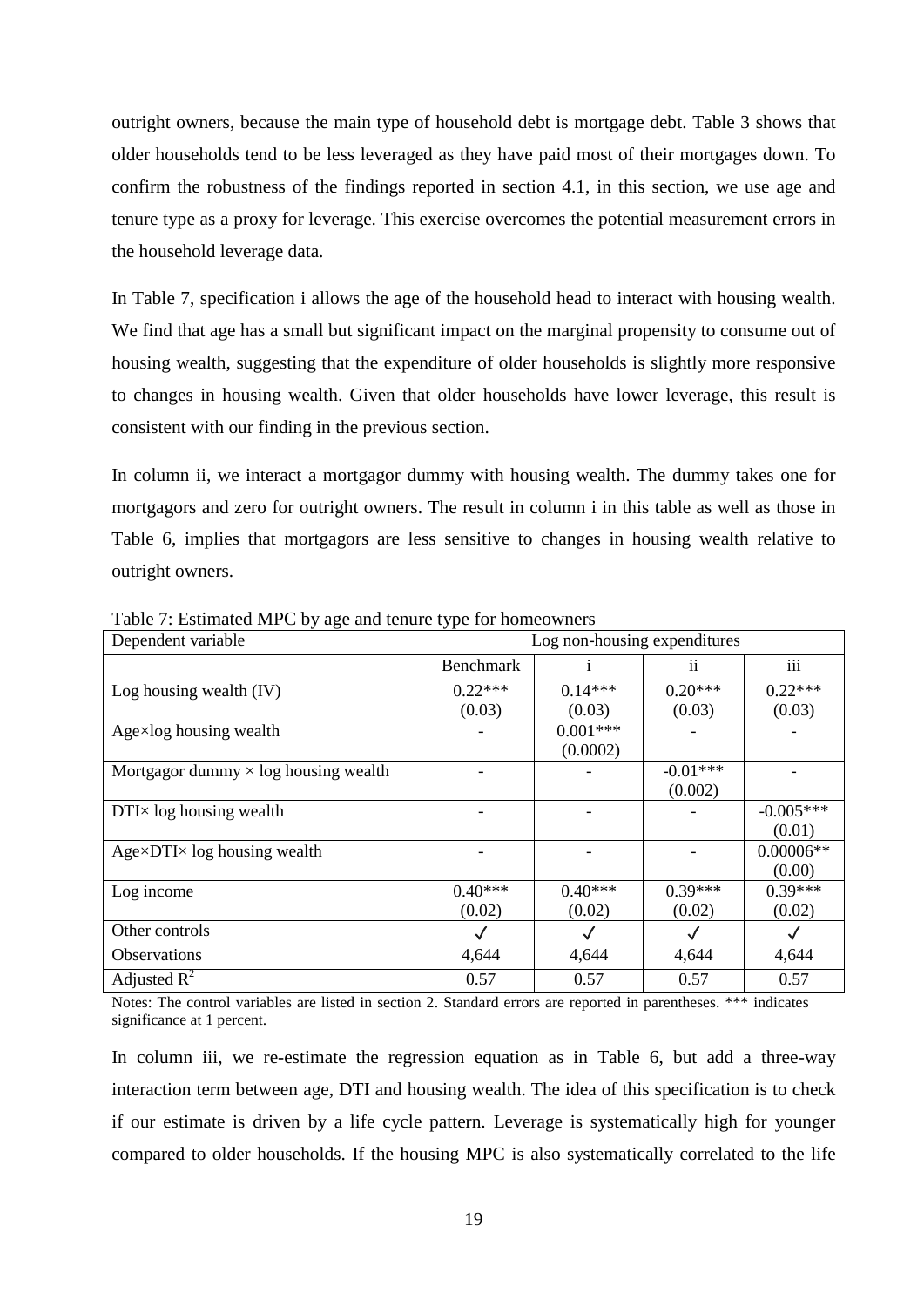outright owners, because the main type of household debt is mortgage debt. Table 3 shows that older households tend to be less leveraged as they have paid most of their mortgages down. To confirm the robustness of the findings reported in section 4.1, in this section, we use age and tenure type as a proxy for leverage. This exercise overcomes the potential measurement errors in the household leverage data.

In Table 7, specification i allows the age of the household head to interact with housing wealth. We find that age has a small but significant impact on the marginal propensity to consume out of housing wealth, suggesting that the expenditure of older households is slightly more responsive to changes in housing wealth. Given that older households have lower leverage, this result is consistent with our finding in the previous section.

In column ii, we interact a mortgagor dummy with housing wealth. The dummy takes one for mortgagors and zero for outright owners. The result in column i in this table as well as those in Table 6, implies that mortgagors are less sensitive to changes in housing wealth relative to outright owners.

| Dependent variable                          |                  | Log non-housing expenditures |                 |              |  |  |
|---------------------------------------------|------------------|------------------------------|-----------------|--------------|--|--|
|                                             | <b>Benchmark</b> |                              | $\overline{11}$ | iii          |  |  |
| Log housing wealth $(IV)$                   | $0.22***$        | $0.14***$                    | $0.20***$       | $0.22***$    |  |  |
|                                             | (0.03)           | (0.03)                       | (0.03)          | (0.03)       |  |  |
| Age×log housing wealth                      |                  | $0.001***$                   |                 |              |  |  |
|                                             |                  | (0.0002)                     |                 |              |  |  |
| Mortgagor dummy $\times$ log housing wealth |                  |                              | $-0.01***$      |              |  |  |
|                                             |                  |                              | (0.002)         |              |  |  |
| $DTI \times log$ housing wealth             |                  |                              |                 | $-0.005***$  |  |  |
|                                             |                  |                              |                 | (0.01)       |  |  |
| $Age\times DTI\times log$ housing wealth    |                  |                              |                 | $0.00006**$  |  |  |
|                                             |                  |                              |                 | (0.00)       |  |  |
| Log income                                  | $0.40***$        | $0.40***$                    | $0.39***$       | $0.39***$    |  |  |
|                                             | (0.02)           | (0.02)                       | (0.02)          | (0.02)       |  |  |
| Other controls                              | √                | $\checkmark$                 | $\checkmark$    | $\checkmark$ |  |  |
| <b>Observations</b>                         | 4,644            | 4,644                        | 4,644           | 4,644        |  |  |
| Adjusted $R^2$                              | 0.57             | 0.57                         | 0.57            | 0.57         |  |  |

Table 7: Estimated MPC by age and tenure type for homeowners

Notes: The control variables are listed in section 2. Standard errors are reported in parentheses. \*\*\* indicates significance at 1 percent.

In column iii, we re-estimate the regression equation as in Table 6, but add a three-way interaction term between age, DTI and housing wealth. The idea of this specification is to check if our estimate is driven by a life cycle pattern. Leverage is systematically high for younger compared to older households. If the housing MPC is also systematically correlated to the life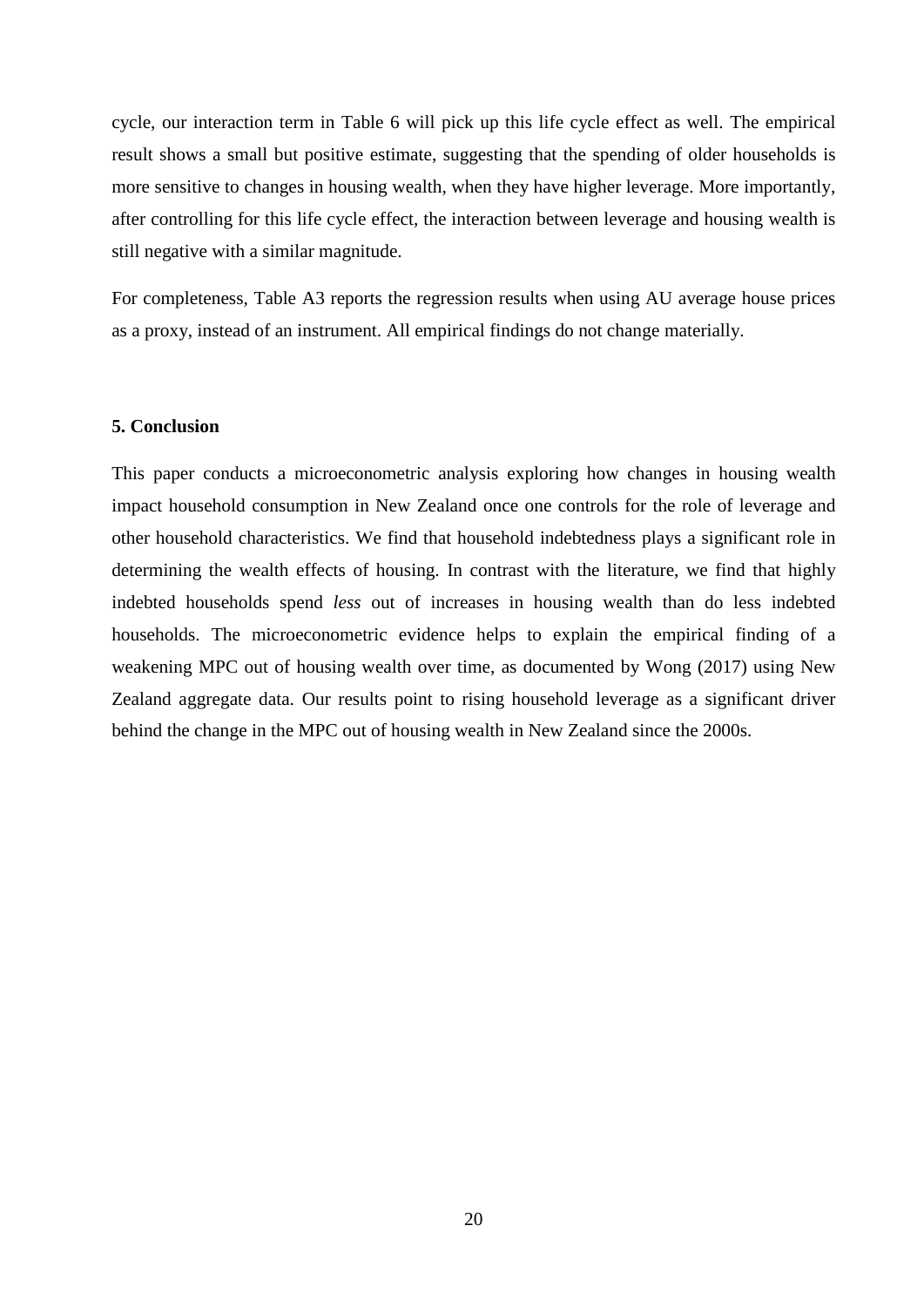cycle, our interaction term in Table 6 will pick up this life cycle effect as well. The empirical result shows a small but positive estimate, suggesting that the spending of older households is more sensitive to changes in housing wealth, when they have higher leverage. More importantly, after controlling for this life cycle effect, the interaction between leverage and housing wealth is still negative with a similar magnitude.

For completeness, Table A3 reports the regression results when using AU average house prices as a proxy, instead of an instrument. All empirical findings do not change materially.

#### **5. Conclusion**

This paper conducts a microeconometric analysis exploring how changes in housing wealth impact household consumption in New Zealand once one controls for the role of leverage and other household characteristics. We find that household indebtedness plays a significant role in determining the wealth effects of housing. In contrast with the literature, we find that highly indebted households spend *less* out of increases in housing wealth than do less indebted households. The microeconometric evidence helps to explain the empirical finding of a weakening MPC out of housing wealth over time, as documented by Wong (2017) using New Zealand aggregate data. Our results point to rising household leverage as a significant driver behind the change in the MPC out of housing wealth in New Zealand since the 2000s.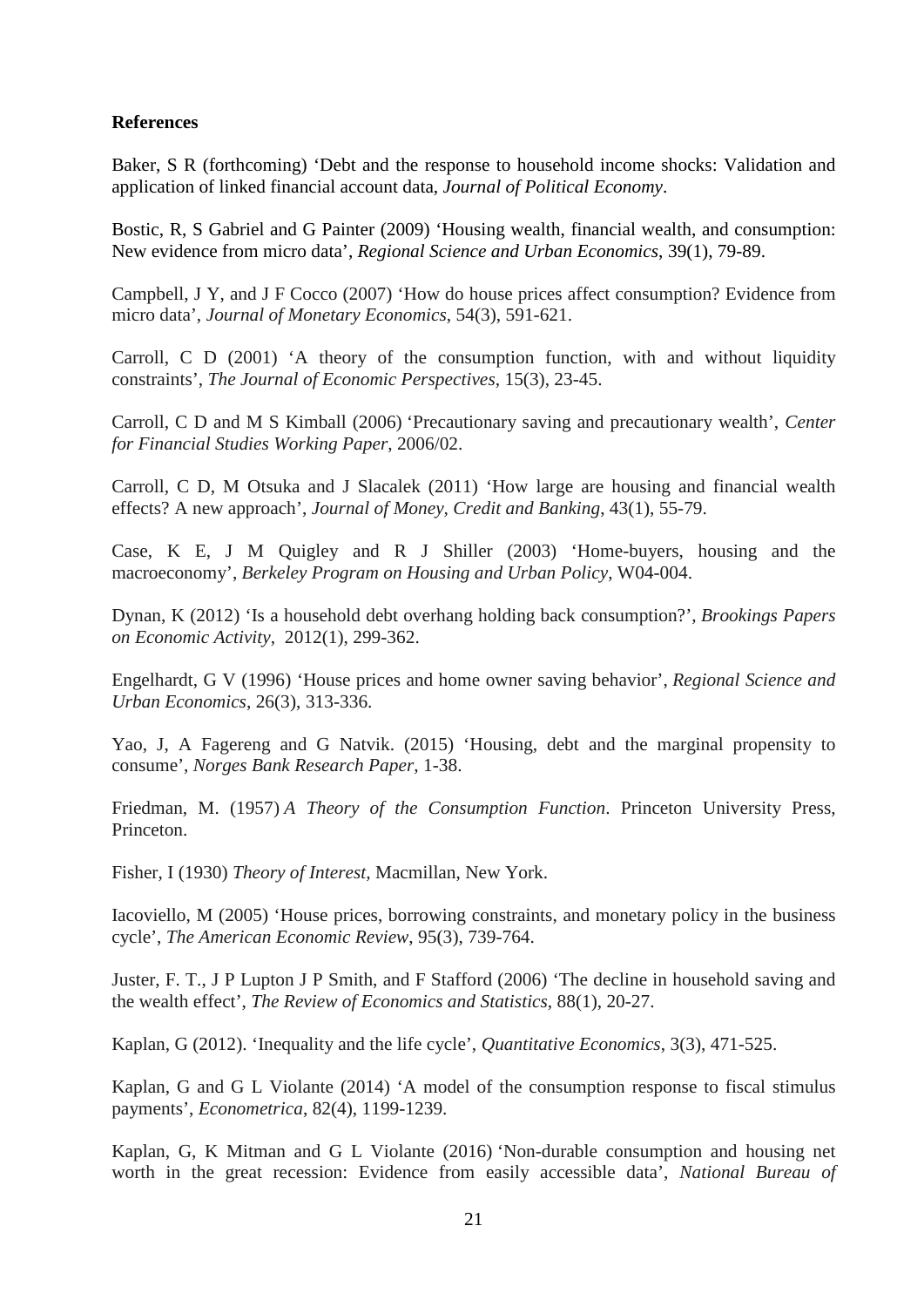#### **References**

Baker, S R (forthcoming) 'Debt and the response to household income shocks: Validation and application of linked financial account data, *Journal of Political Economy*.

Bostic, R, S Gabriel and G Painter (2009) 'Housing wealth, financial wealth, and consumption: New evidence from micro data', *Regional Science and Urban Economics*, 39(1), 79-89.

Campbell, J Y, and J F Cocco (2007) 'How do house prices affect consumption? Evidence from micro data', *Journal of Monetary Economics*, 54(3), 591-621.

Carroll, C D (2001) 'A theory of the consumption function, with and without liquidity constraints', *The Journal of Economic Perspectives*, 15(3), 23-45.

Carroll, C D and M S Kimball (2006) 'Precautionary saving and precautionary wealth', *Center for Financial Studies Working Paper*, 2006/02.

Carroll, C D, M Otsuka and J Slacalek (2011) 'How large are housing and financial wealth effects? A new approach', *Journal of Money, Credit and Banking*, 43(1), 55-79.

Case, K E, J M Quigley and R J Shiller (2003) 'Home-buyers, housing and the macroeconomy', *Berkeley Program on Housing and Urban Policy*, W04-004.

Dynan, K (2012) 'Is a household debt overhang holding back consumption?', *Brookings Papers on Economic Activity*, 2012(1), 299-362.

Engelhardt, G V (1996) 'House prices and home owner saving behavior', *Regional Science and Urban Economics*, 26(3), 313-336.

Yao, J, A Fagereng and G Natvik. (2015) 'Housing, debt and the marginal propensity to consume', *Norges Bank Research Paper*, 1-38.

Friedman, M. (1957) *A Theory of the Consumption Function*. Princeton University Press, Princeton.

Fisher, I (1930) *Theory of Interest,* Macmillan, New York.

Iacoviello, M (2005) 'House prices, borrowing constraints, and monetary policy in the business cycle', *The American Economic Review*, 95(3), 739-764.

Juster, F. T., J P Lupton J P Smith, and F Stafford (2006) 'The decline in household saving and the wealth effect', *The Review of Economics and Statistics*, 88(1), 20-27.

Kaplan, G (2012). 'Inequality and the life cycle', *Quantitative Economics*, 3(3), 471-525.

Kaplan, G and G L Violante (2014) 'A model of the consumption response to fiscal stimulus payments', *Econometrica*, 82(4), 1199-1239.

Kaplan, G, K Mitman and G L Violante (2016) 'Non-durable consumption and housing net worth in the great recession: Evidence from easily accessible data', *National Bureau of*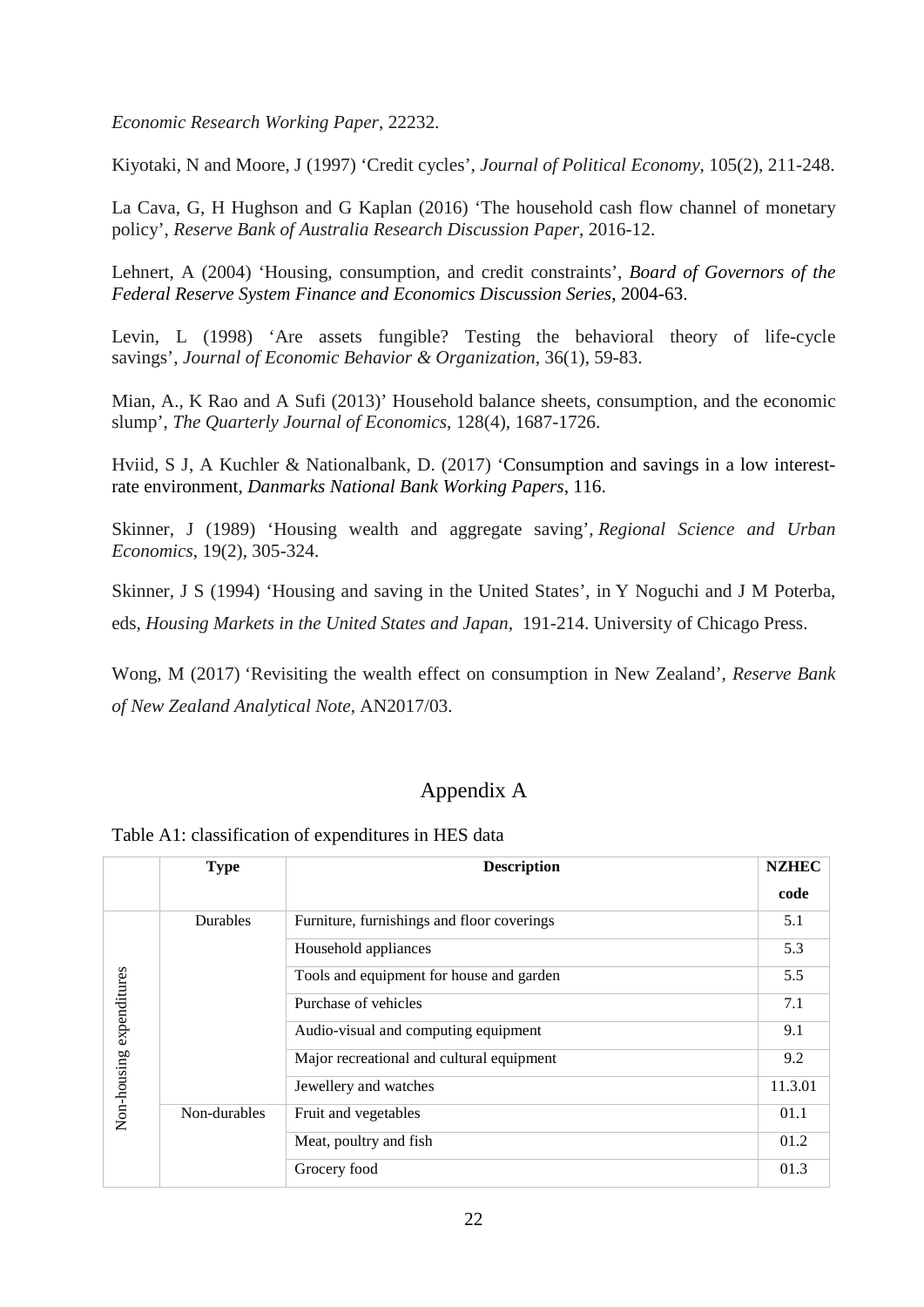*Economic Research Working Paper*, 22232.

Kiyotaki, N and Moore, J (1997) 'Credit cycles', *Journal of Political Economy*, 105(2), 211-248.

La Cava, G, H Hughson and G Kaplan (2016) 'The household cash flow channel of monetary policy', *Reserve Bank of Australia Research Discussion Paper*, 2016-12.

Lehnert, A (2004) 'Housing, consumption, and credit constraints', *Board of Governors of the Federal Reserve System Finance and Economics Discussion Series*, 2004-63.

Levin, L (1998) 'Are assets fungible? Testing the behavioral theory of life-cycle savings', *Journal of Economic Behavior & Organization*, 36(1), 59-83.

Mian, A., K Rao and A Sufi (2013)' Household balance sheets, consumption, and the economic slump', *The Quarterly Journal of Economics*, 128(4), 1687-1726.

Hviid, S J, A Kuchler & Nationalbank, D. (2017) 'Consumption and savings in a low interestrate environment, *Danmarks National Bank Working Papers*, 116.

Skinner, J (1989) 'Housing wealth and aggregate saving', *Regional Science and Urban Economics*, 19(2), 305-324.

Skinner, J S (1994) 'Housing and saving in the United States', in Y Noguchi and J M Poterba, eds, *Housing Markets in the United States and Japan,* 191-214. University of Chicago Press.

Wong, M (2017) 'Revisiting the wealth effect on consumption in New Zealand', *Reserve Bank of New Zealand Analytical Note*, AN2017/03.

### Appendix A

Table A1: classification of expenditures in HES data

|                          | <b>Type</b>  | <b>Description</b>                         | <b>NZHEC</b> |
|--------------------------|--------------|--------------------------------------------|--------------|
|                          |              |                                            | code         |
|                          | Durables     | Furniture, furnishings and floor coverings | 5.1          |
|                          |              | Household appliances                       | 5.3          |
|                          |              | Tools and equipment for house and garden   | 5.5          |
|                          |              | Purchase of vehicles                       | 7.1          |
|                          |              | Audio-visual and computing equipment       | 9.1          |
|                          |              | Major recreational and cultural equipment  | 9.2          |
| Non-housing expenditures |              | Jewellery and watches                      | 11.3.01      |
|                          | Non-durables | Fruit and vegetables                       | 01.1         |
|                          |              | Meat, poultry and fish                     | 01.2         |
|                          |              | Grocery food                               | 01.3         |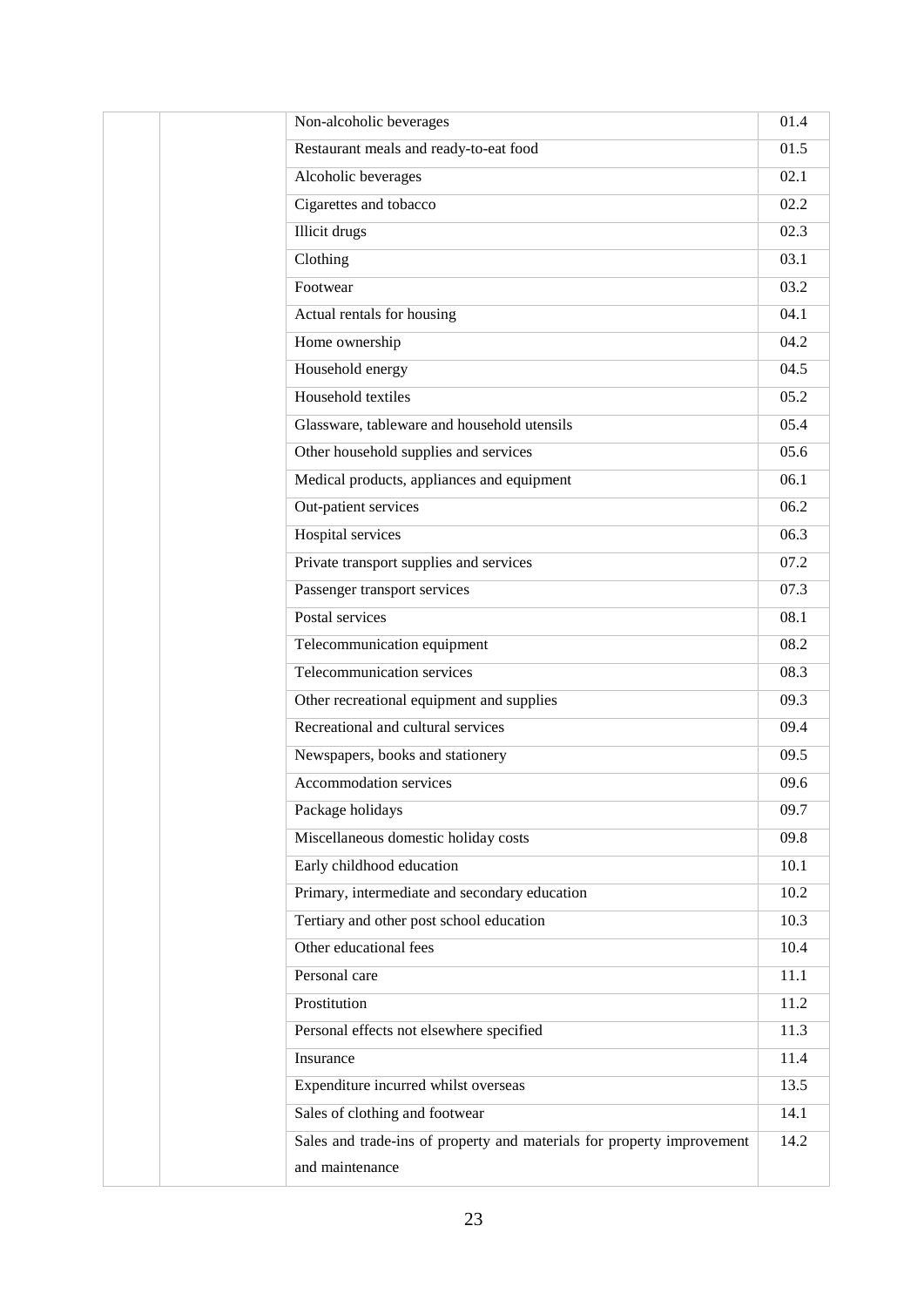| Non-alcoholic beverages                                                | 01.4 |
|------------------------------------------------------------------------|------|
| Restaurant meals and ready-to-eat food                                 | 01.5 |
| Alcoholic beverages                                                    | 02.1 |
| Cigarettes and tobacco                                                 | 02.2 |
| <b>Illicit drugs</b>                                                   | 02.3 |
| Clothing                                                               | 03.1 |
| Footwear                                                               | 03.2 |
| Actual rentals for housing                                             | 04.1 |
| Home ownership                                                         | 04.2 |
| Household energy                                                       | 04.5 |
| Household textiles                                                     | 05.2 |
| Glassware, tableware and household utensils                            | 05.4 |
| Other household supplies and services                                  | 05.6 |
| Medical products, appliances and equipment                             | 06.1 |
| Out-patient services                                                   | 06.2 |
| Hospital services                                                      | 06.3 |
| Private transport supplies and services                                | 07.2 |
| Passenger transport services                                           | 07.3 |
| Postal services                                                        | 08.1 |
| Telecommunication equipment                                            | 08.2 |
| Telecommunication services                                             | 08.3 |
| Other recreational equipment and supplies                              | 09.3 |
| Recreational and cultural services                                     | 09.4 |
| Newspapers, books and stationery                                       | 09.5 |
| Accommodation services                                                 | 09.6 |
| Package holidays                                                       | 09.7 |
| Miscellaneous domestic holiday costs                                   | 09.8 |
| Early childhood education                                              | 10.1 |
| Primary, intermediate and secondary education                          | 10.2 |
| Tertiary and other post school education                               | 10.3 |
| Other educational fees                                                 | 10.4 |
| Personal care                                                          | 11.1 |
| Prostitution                                                           | 11.2 |
| Personal effects not elsewhere specified                               | 11.3 |
| Insurance                                                              | 11.4 |
| Expenditure incurred whilst overseas                                   | 13.5 |
| Sales of clothing and footwear                                         | 14.1 |
| Sales and trade-ins of property and materials for property improvement | 14.2 |
| and maintenance                                                        |      |